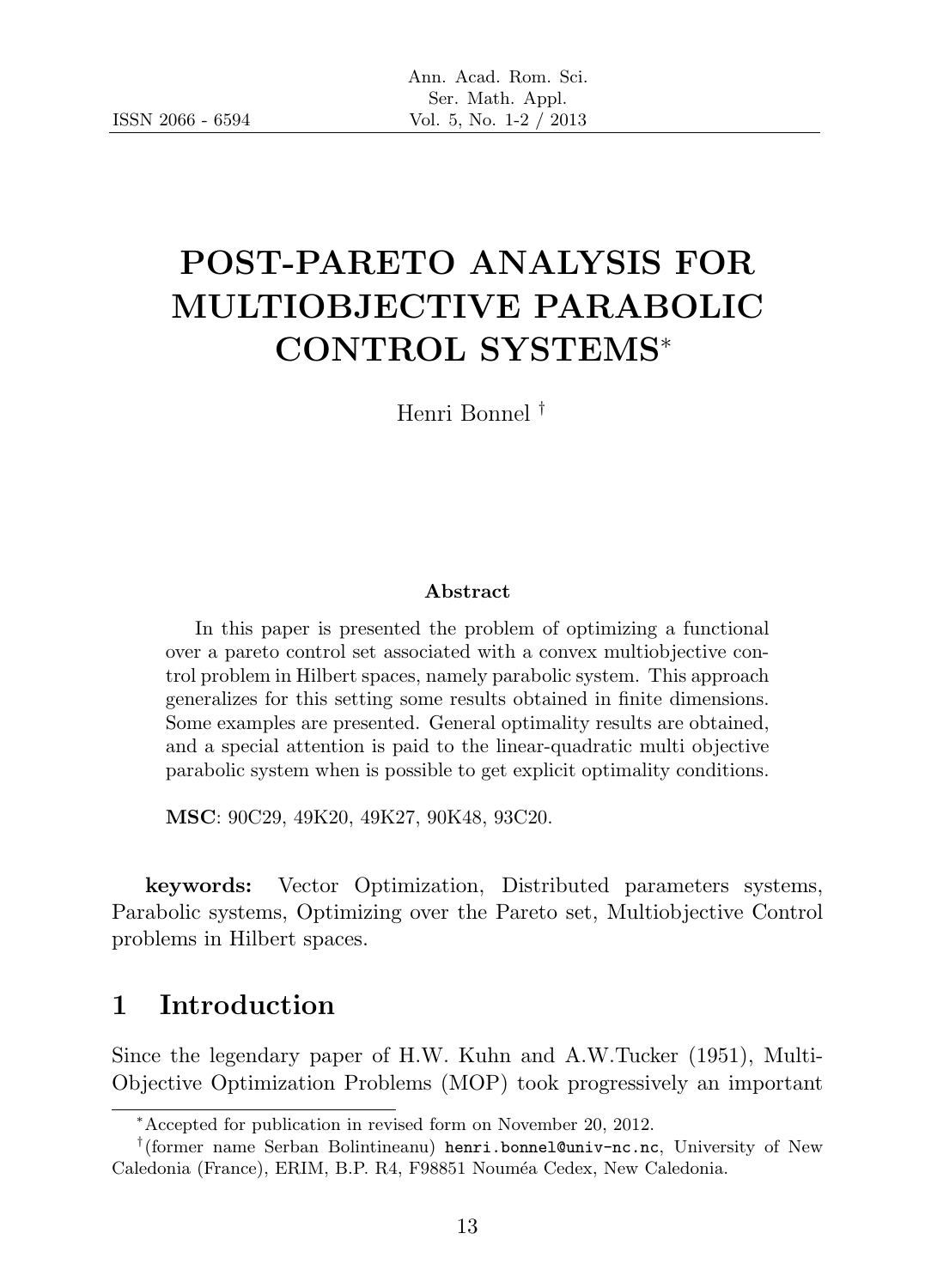# POST-PARETO ANALYSIS FOR MULTIOBJECTIVE PARABOLIC CONTROL SYSTEMS<sup>∗</sup>

Henri Bonnel †

#### Abstract

In this paper is presented the problem of optimizing a functional over a pareto control set associated with a convex multiobjective control problem in Hilbert spaces, namely parabolic system. This approach generalizes for this setting some results obtained in finite dimensions. Some examples are presented. General optimality results are obtained, and a special attention is paid to the linear-quadratic multi objective parabolic system when is possible to get explicit optimality conditions.

MSC: 90C29, 49K20, 49K27, 90K48, 93C20.

keywords: Vector Optimization, Distributed parameters systems, Parabolic systems, Optimizing over the Pareto set, Multiobjective Control problems in Hilbert spaces.

# 1 Introduction

Since the legendary paper of H.W. Kuhn and A.W.Tucker (1951), Multi-Objective Optimization Problems (MOP) took progressively an important

<sup>∗</sup>Accepted for publication in revised form on November 20, 2012.

<sup>†</sup> (former name Serban Bolintineanu) henri.bonnel@univ-nc.nc, University of New Caledonia (France), ERIM, B.P. R4, F98851 Nouméa Cedex, New Caledonia.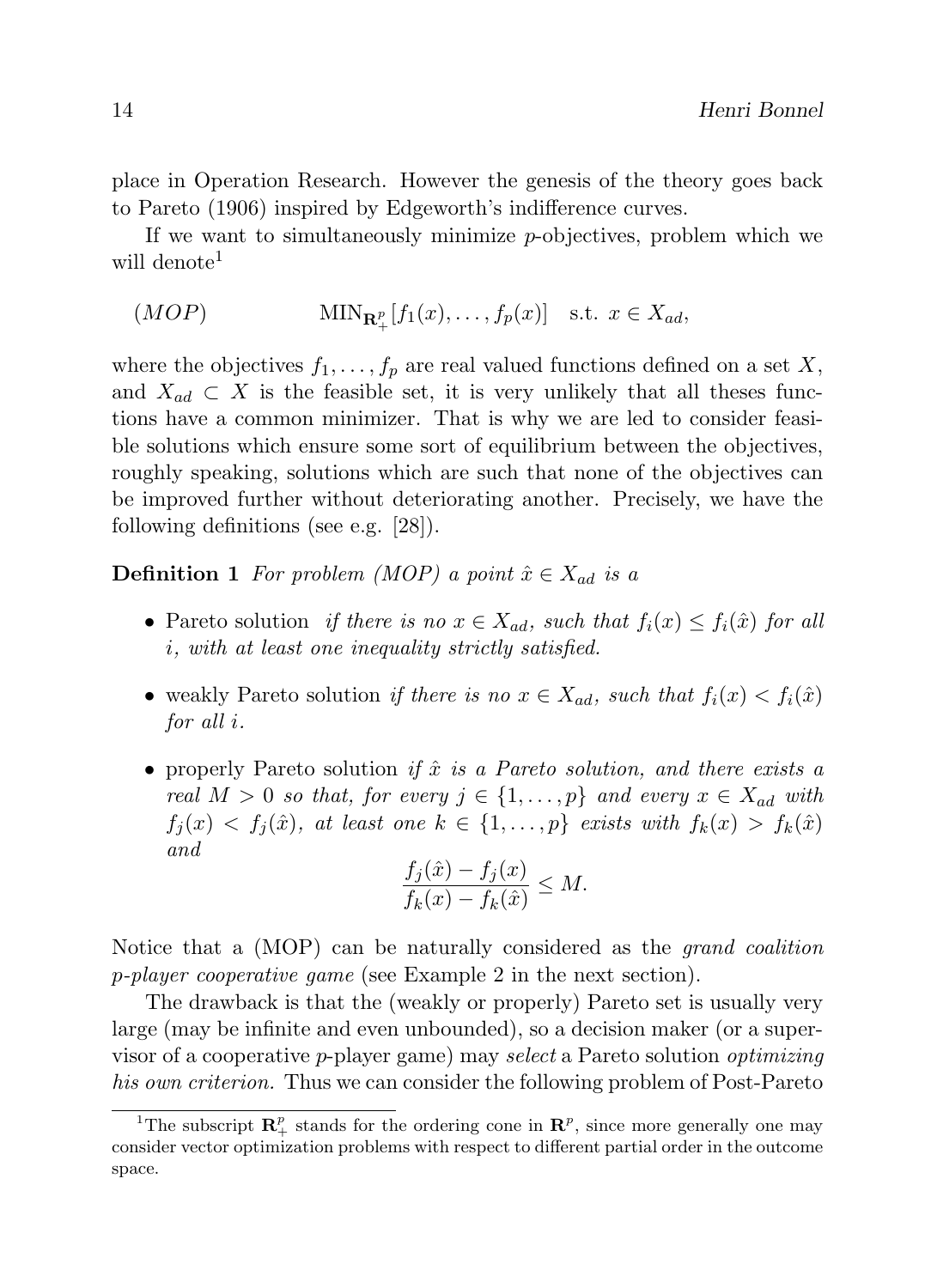place in Operation Research. However the genesis of the theory goes back to Pareto (1906) inspired by Edgeworth's indifference curves.

If we want to simultaneously minimize p-objectives, problem which we will denote<sup>1</sup>

(MOP) MIN<sup>R</sup> p + [f1(x), . . . , fp(x)] s.t. x ∈ Xad,

where the objectives  $f_1, \ldots, f_p$  are real valued functions defined on a set X, and  $X_{ad} \subset X$  is the feasible set, it is very unlikely that all theses functions have a common minimizer. That is why we are led to consider feasible solutions which ensure some sort of equilibrium between the objectives, roughly speaking, solutions which are such that none of the objectives can be improved further without deteriorating another. Precisely, we have the following definitions (see e.g. [28]).

**Definition 1** For problem (MOP) a point  $\hat{x} \in X_{ad}$  is a

- Pareto solution *if there is no*  $x \in X_{ad}$ , such that  $f_i(x) \leq f_i(\hat{x})$  for all i, with at least one inequality strictly satisfied.
- weakly Pareto solution if there is no  $x \in X_{ad}$ , such that  $f_i(x) < f_i(\hat{x})$ for all i.
- properly Pareto solution if  $\hat{x}$  is a Pareto solution, and there exists a real  $M > 0$  so that, for every  $j \in \{1, ..., p\}$  and every  $x \in X_{ad}$  with  $f_j(x) < f_j(\hat{x})$ , at least one  $k \in \{1, \ldots, p\}$  exists with  $f_k(x) > f_k(\hat{x})$ and  $\frac{1}{\sqrt{2}}$

$$
\frac{f_j(\hat{x}) - f_j(x)}{f_k(x) - f_k(\hat{x})} \le M.
$$

Notice that a (MOP) can be naturally considered as the *grand coalition* p-player cooperative game (see Example 2 in the next section).

The drawback is that the (weakly or properly) Pareto set is usually very large (may be infinite and even unbounded), so a decision maker (or a supervisor of a cooperative p-player game) may select a Pareto solution optimizing his own criterion. Thus we can consider the following problem of Post-Pareto

<sup>&</sup>lt;sup>1</sup>The subscript  $\mathbb{R}^p_+$  stands for the ordering cone in  $\mathbb{R}^p$ , since more generally one may consider vector optimization problems with respect to different partial order in the outcome space.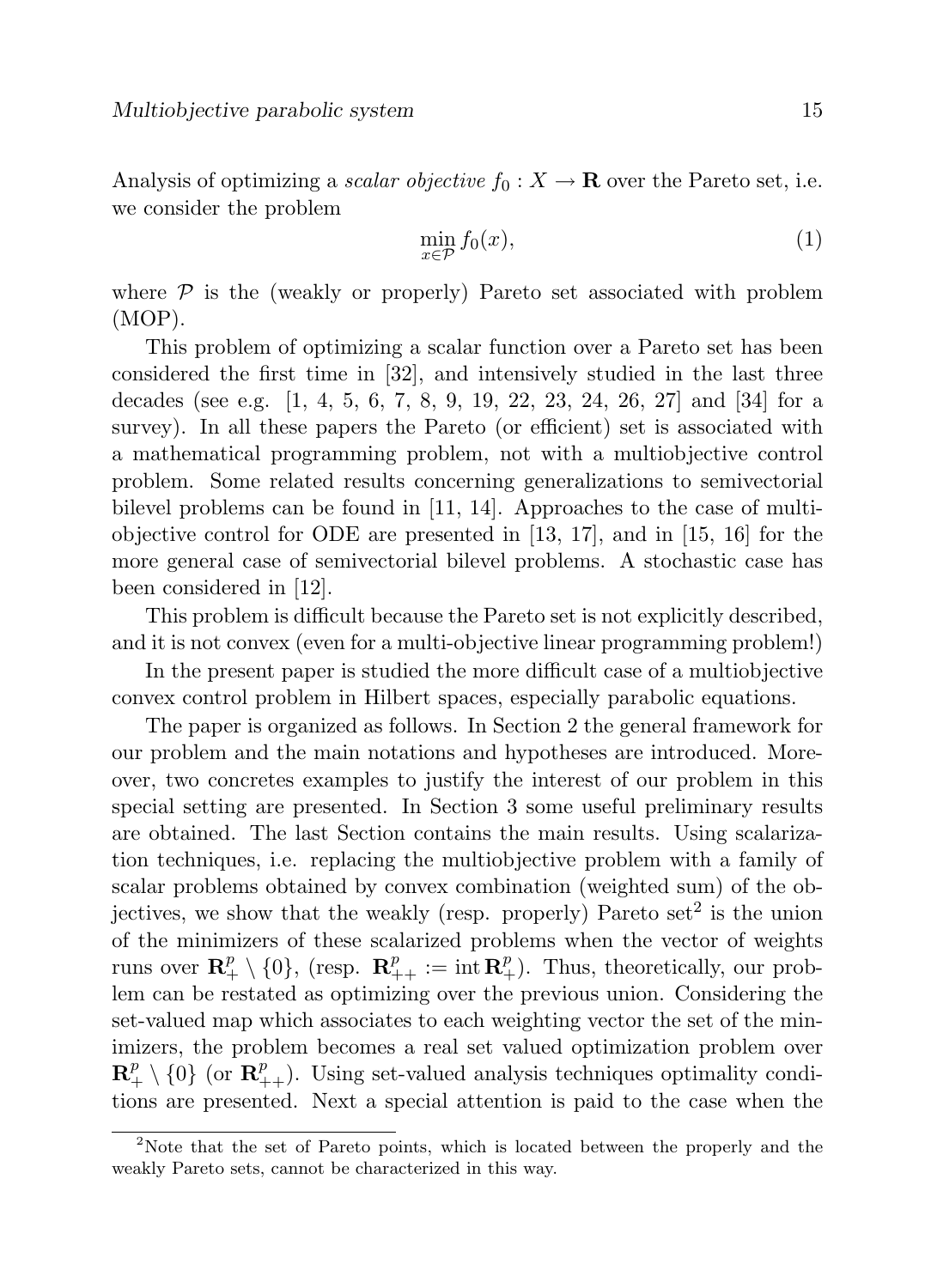Analysis of optimizing a scalar objective  $f_0 : X \to \mathbf{R}$  over the Pareto set, i.e. we consider the problem

$$
\min_{x \in \mathcal{P}} f_0(x),\tag{1}
$$

where  $\mathcal P$  is the (weakly or properly) Pareto set associated with problem (MOP).

This problem of optimizing a scalar function over a Pareto set has been considered the first time in [32], and intensively studied in the last three decades (see e.g. [1, 4, 5, 6, 7, 8, 9, 19, 22, 23, 24, 26, 27] and [34] for a survey). In all these papers the Pareto (or efficient) set is associated with a mathematical programming problem, not with a multiobjective control problem. Some related results concerning generalizations to semivectorial bilevel problems can be found in [11, 14]. Approaches to the case of multiobjective control for ODE are presented in [13, 17], and in [15, 16] for the more general case of semivectorial bilevel problems. A stochastic case has been considered in [12].

This problem is difficult because the Pareto set is not explicitly described, and it is not convex (even for a multi-objective linear programming problem!)

In the present paper is studied the more difficult case of a multiobjective convex control problem in Hilbert spaces, especially parabolic equations.

The paper is organized as follows. In Section 2 the general framework for our problem and the main notations and hypotheses are introduced. Moreover, two concretes examples to justify the interest of our problem in this special setting are presented. In Section 3 some useful preliminary results are obtained. The last Section contains the main results. Using scalarization techniques, i.e. replacing the multiobjective problem with a family of scalar problems obtained by convex combination (weighted sum) of the objectives, we show that the weakly (resp. properly) Pareto  $set<sup>2</sup>$  is the union of the minimizers of these scalarized problems when the vector of weights runs over  $\mathbf{R}_{+}^{p} \setminus \{0\}$ , (resp.  $\mathbf{R}_{++}^{p} := \text{int } \mathbf{R}_{+}^{p}$ ). Thus, theoretically, our problem can be restated as optimizing over the previous union. Considering the set-valued map which associates to each weighting vector the set of the minimizers, the problem becomes a real set valued optimization problem over  $\mathbf{R}^p_+ \setminus \{0\}$  (or  $\mathbf{R}^p_{++}$ ). Using set-valued analysis techniques optimality conditions are presented. Next a special attention is paid to the case when the

<sup>&</sup>lt;sup>2</sup>Note that the set of Pareto points, which is located between the properly and the weakly Pareto sets, cannot be characterized in this way.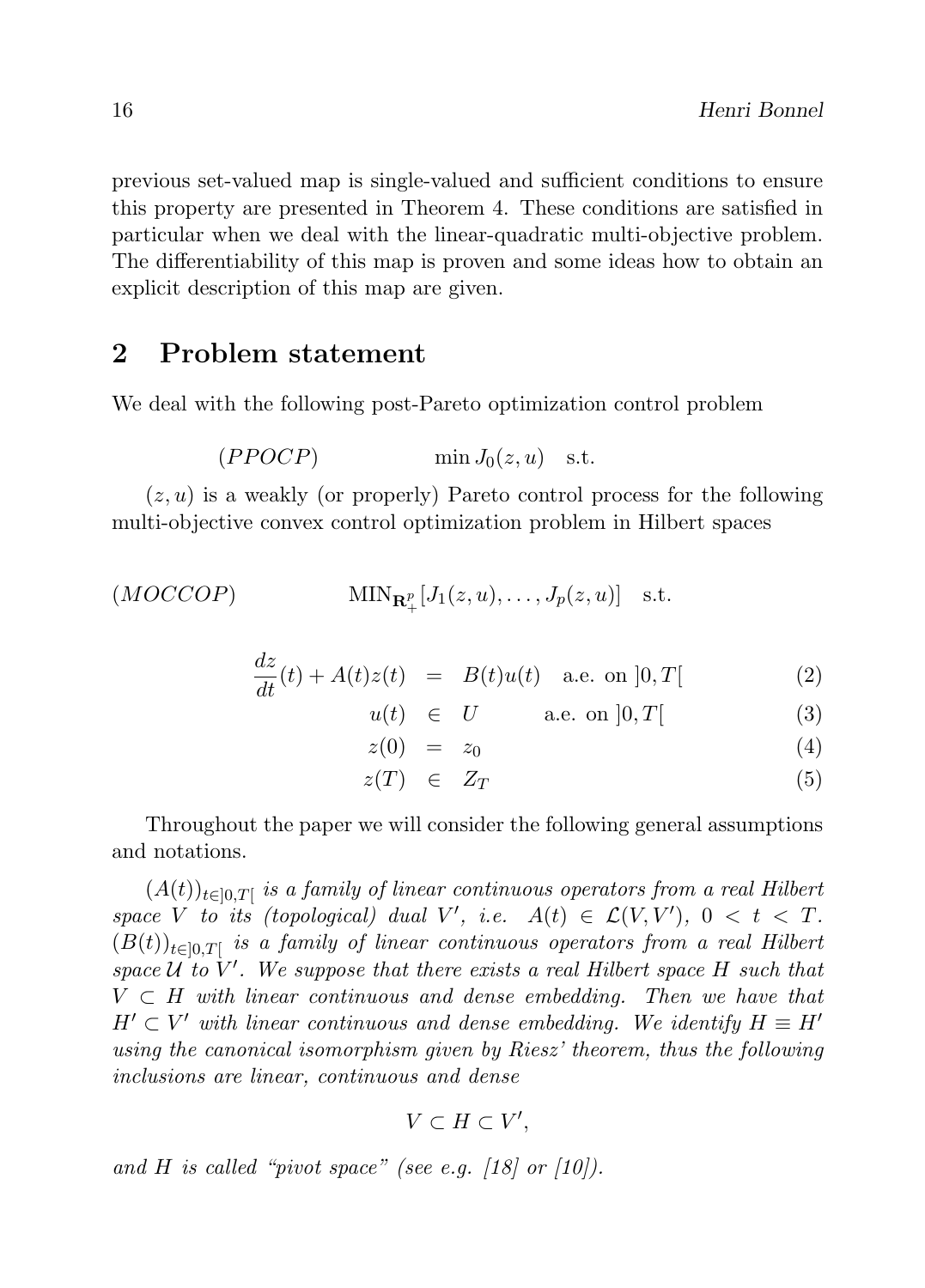previous set-valued map is single-valued and sufficient conditions to ensure this property are presented in Theorem 4. These conditions are satisfied in particular when we deal with the linear-quadratic multi-objective problem. The differentiability of this map is proven and some ideas how to obtain an explicit description of this map are given.

# 2 Problem statement

We deal with the following post-Pareto optimization control problem

$$
(PPOCP) \qquad \qquad \min J_0(z, u) \quad \text{s.t.}
$$

 $(z, u)$  is a weakly (or properly) Pareto control process for the following multi-objective convex control optimization problem in Hilbert spaces

$$
(MOCCOP) \qquad \qquad \text{MIN}_{\mathbf{R}_+^p}[J_1(z,u),\ldots,J_p(z,u)] \quad \text{s.t.}
$$

$$
\frac{dz}{dt}(t) + A(t)z(t) = B(t)u(t) \quad \text{a.e. on } ]0,T[ \tag{2}
$$

$$
u(t) \in U \qquad \text{a.e. on } ]0, T[ \qquad (3)
$$

$$
z(0) = z_0 \tag{4}
$$

 $z(T) \in Z_T$  (5)

Throughout the paper we will consider the following general assumptions and notations.

 $(A(t))_{t\in[0,T]}$  is a family of linear continuous operators from a real Hilbert space V to its (topological) dual V', i.e.  $A(t) \in \mathcal{L}(V, V')$ ,  $0 < t < T$ .  $(B(t))_{t\in[0,T]}$  is a family of linear continuous operators from a real Hilbert space  $\mathcal{U}$  to  $V'$ . We suppose that there exists a real Hilbert space H such that  $V \subset H$  with linear continuous and dense embedding. Then we have that  $H' \subset V'$  with linear continuous and dense embedding. We identify  $H \equiv H'$ using the canonical isomorphism given by Riesz' theorem, thus the following inclusions are linear, continuous and dense

$$
V\subset H\subset V',
$$

and H is called "pivot space" (see e.g.  $\langle 18 \rangle$  or  $\langle 10 \rangle$ ).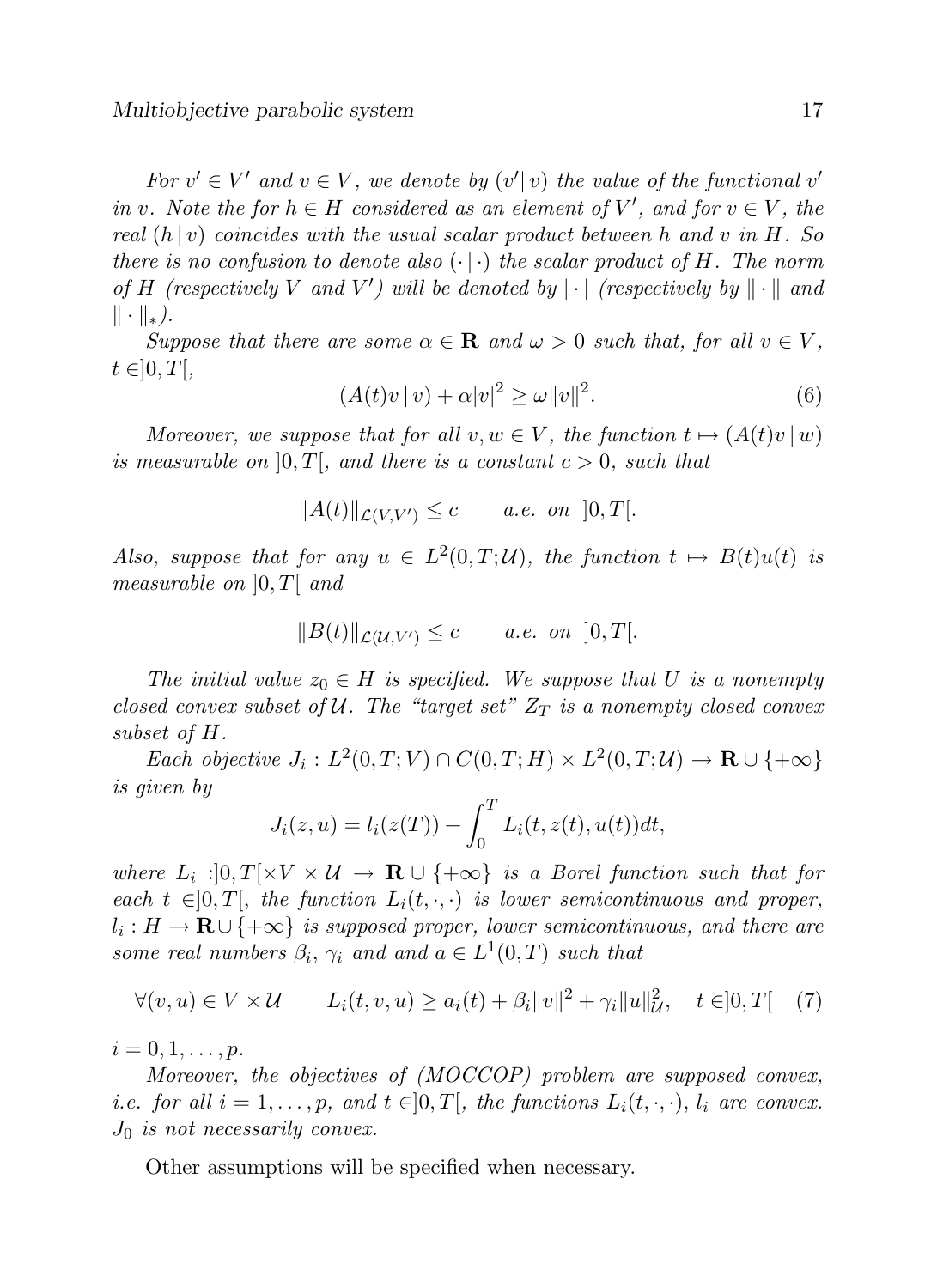For  $v' \in V'$  and  $v \in V$ , we denote by  $(v'|v)$  the value of the functional v' in v. Note the for  $h \in H$  considered as an element of V', and for  $v \in V$ , the real  $(h | v)$  coincides with the usual scalar product between h and v in H. So there is no confusion to denote also  $(\cdot | \cdot)$  the scalar product of H. The norm of H (respectively V and V') will be denoted by  $|\cdot|$  (respectively by  $\|\cdot\|$  and  $\|\cdot\|_*$ ).

Suppose that there are some  $\alpha \in \mathbf{R}$  and  $\omega > 0$  such that, for all  $v \in V$ ,  $t \in ]0, T[,$ 

$$
(A(t)v\,|v) + \alpha|v|^2 \ge \omega\|v\|^2. \tag{6}
$$

Moreover, we suppose that for all  $v, w \in V$ , the function  $t \mapsto (A(t)v | w)$ is measurable on  $[0, T]$ , and there is a constant  $c > 0$ , such that

$$
||A(t)||_{\mathcal{L}(V,V')} \leq c \qquad a.e. \text{ on } ]0,T[.
$$

Also, suppose that for any  $u \in L^2(0,T;\mathcal{U})$ , the function  $t \mapsto B(t)u(t)$  is measurable on  $[0, T[$  and

$$
||B(t)||_{\mathcal{L}(\mathcal{U},V')} \leq c \qquad a.e. \text{ on } ]0,T[.
$$

The initial value  $z_0 \in H$  is specified. We suppose that U is a nonempty closed convex subset of U. The "target set"  $Z_T$  is a nonempty closed convex subset of H.

Each objective  $J_i: L^2(0,T;V) \cap C(0,T;H) \times L^2(0,T;\mathcal{U}) \to \mathbf{R} \cup \{+\infty\}$ is given by

$$
J_i(z, u) = l_i(z(T)) + \int_0^T L_i(t, z(t), u(t))dt,
$$

where  $L_i: ]0,T[ \times V \times U \to \mathbf{R} \cup \{+\infty\}$  is a Borel function such that for each  $t \in ]0, T[$ , the function  $L_i(t, \cdot, \cdot)$  is lower semicontinuous and proper,  $l_i: H \to \mathbf{R} \cup \{+\infty\}$  is supposed proper, lower semicontinuous, and there are some real numbers  $\beta_i$ ,  $\gamma_i$  and and  $a \in L^1(0,T)$  such that

$$
\forall (v, u) \in V \times \mathcal{U} \qquad L_i(t, v, u) \ge a_i(t) + \beta_i ||v||^2 + \gamma_i ||u||_{\mathcal{U}}^2, \quad t \in ]0, T[ \quad (7)
$$

 $i = 0, 1, \ldots, p.$ 

Moreover, the objectives of (MOCCOP) problem are supposed convex, *i.e.* for all  $i = 1, ..., p$ , and  $t \in ]0, T[$ , the functions  $L_i(t, \cdot, \cdot)$ ,  $l_i$  are convex.  $J_0$  is not necessarily convex.

Other assumptions will be specified when necessary.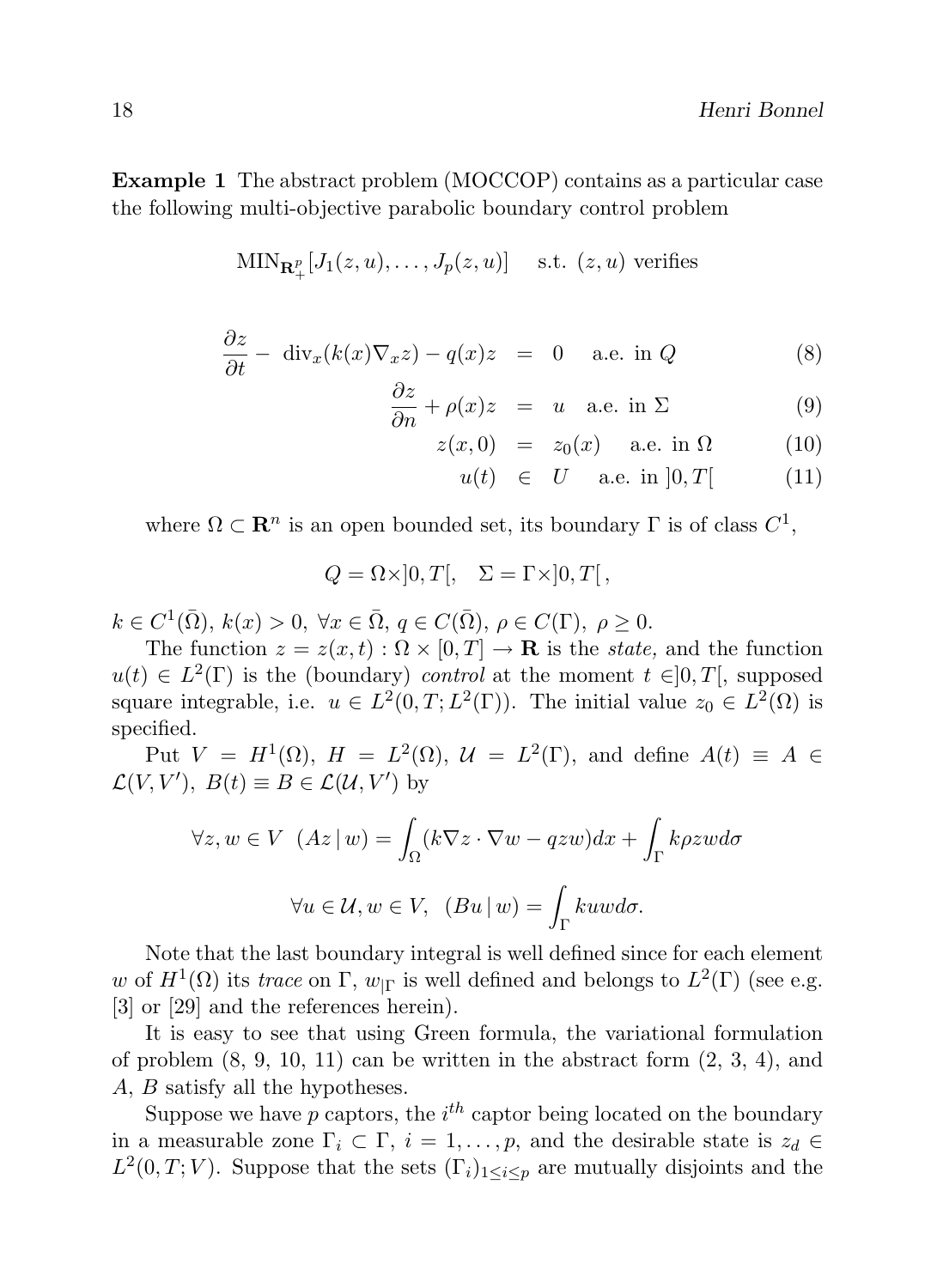Example 1 The abstract problem (MOCCOP) contains as a particular case the following multi-objective parabolic boundary control problem

$$
\text{MIN}_{\mathbf{R}_+^p}[J_1(z, u), \dots, J_p(z, u)] \quad \text{s.t. } (z, u) \text{ verifies}
$$

$$
\frac{\partial z}{\partial t} - \operatorname{div}_x(k(x)\nabla_x z) - q(x)z = 0 \quad \text{a.e. in } Q \tag{8}
$$

$$
\frac{\partial z}{\partial n} + \rho(x)z = u \quad \text{a.e. in } \Sigma \tag{9}
$$

$$
z(x,0) = z_0(x) \quad \text{a.e. in } \Omega \tag{10}
$$

$$
u(t) \in U \quad \text{a.e. in } ]0, T[ \tag{11}
$$

where  $\Omega \subset \mathbf{R}^n$  is an open bounded set, its boundary  $\Gamma$  is of class  $C^1$ ,

$$
Q = \Omega \times ]0, T[, \quad \Sigma = \Gamma \times ]0, T[,
$$

 $k \in C^1(\overline{\Omega}), k(x) > 0, \forall x \in \overline{\Omega}, q \in C(\overline{\Omega}), \rho \in C(\Gamma), \rho \ge 0.$ 

The function  $z = z(x, t) : \Omega \times [0, T] \to \mathbf{R}$  is the *state*, and the function  $u(t) \in L^2(\Gamma)$  is the (boundary) control at the moment  $t \in ]0,T[$ , supposed square integrable, i.e.  $u \in L^2(0,T;L^2(\Gamma))$ . The initial value  $z_0 \in L^2(\Omega)$  is specified.

Put  $V = H^1(\Omega)$ ,  $H = L^2(\Omega)$ ,  $\mathcal{U} = L^2(\Gamma)$ , and define  $A(t) \equiv A \in$  $\mathcal{L}(V, V'), B(t) \equiv B \in \mathcal{L}(U, V')$  by

$$
\forall z, w \in V \ (Az \mid w) = \int_{\Omega} (k \nabla z \cdot \nabla w - qzw) dx + \int_{\Gamma} k \rho zw d\sigma
$$

$$
\forall u \in \mathcal{U}, w \in V, \ (Bu \mid w) = \int_{\Gamma} kuw d\sigma.
$$

Note that the last boundary integral is well defined since for each element w of  $H^1(\Omega)$  its trace on  $\Gamma$ ,  $w_{|\Gamma}$  is well defined and belongs to  $L^2(\Gamma)$  (see e.g. [3] or [29] and the references herein).

It is easy to see that using Green formula, the variational formulation of problem  $(8, 9, 10, 11)$  can be written in the abstract form  $(2, 3, 4)$ , and A, B satisfy all the hypotheses.

Suppose we have  $p$  captors, the  $i^{th}$  captor being located on the boundary in a measurable zone  $\Gamma_i \subset \Gamma$ ,  $i = 1, \ldots, p$ , and the desirable state is  $z_d \in$  $L^2(0,T;V)$ . Suppose that the sets  $(\Gamma_i)_{1\leq i\leq p}$  are mutually disjoints and the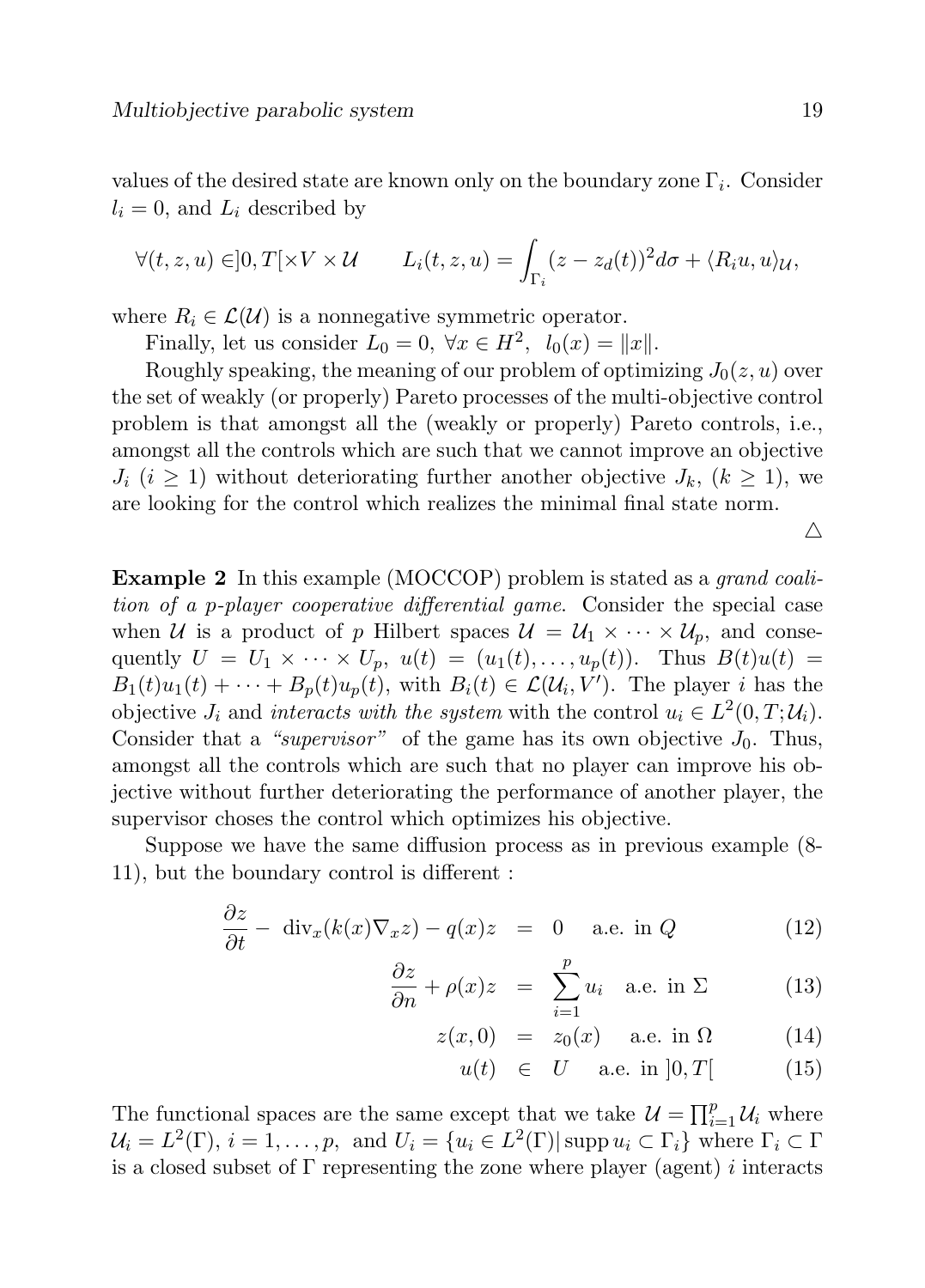values of the desired state are known only on the boundary zone  $\Gamma_i$ . Consider  $l_i = 0$ , and  $L_i$  described by

$$
\forall (t, z, u) \in ]0, T[ \times V \times \mathcal{U} \qquad L_i(t, z, u) = \int_{\Gamma_i} (z - z_d(t))^2 d\sigma + \langle R_i u, u \rangle \mathcal{U},
$$

where  $R_i \in \mathcal{L}(\mathcal{U})$  is a nonnegative symmetric operator.

Finally, let us consider  $L_0 = 0$ ,  $\forall x \in H^2$ ,  $l_0(x) = ||x||$ .

Roughly speaking, the meaning of our problem of optimizing  $J_0(z, u)$  over the set of weakly (or properly) Pareto processes of the multi-objective control problem is that amongst all the (weakly or properly) Pareto controls, i.e., amongst all the controls which are such that we cannot improve an objective  $J_i$  ( $i \geq 1$ ) without deteriorating further another objective  $J_k$ ,  $(k \geq 1)$ , we are looking for the control which realizes the minimal final state norm.

 $\triangle$ 

Example 2 In this example (MOCCOP) problem is stated as a *grand coali*tion of a p-player cooperative differential game. Consider the special case when U is a product of p Hilbert spaces  $\mathcal{U} = \mathcal{U}_1 \times \cdots \times \mathcal{U}_p$ , and consequently  $U = U_1 \times \cdots \times U_p$ ,  $u(t) = (u_1(t), \ldots, u_p(t))$ . Thus  $B(t)u(t) =$  $B_1(t)u_1(t) + \cdots + B_p(t)u_p(t)$ , with  $B_i(t) \in \mathcal{L}(\mathcal{U}_i, V')$ . The player i has the objective  $J_i$  and interacts with the system with the control  $u_i \in L^2(0,T;\mathcal{U}_i)$ . Consider that a "supervisor" of the game has its own objective  $J_0$ . Thus, amongst all the controls which are such that no player can improve his objective without further deteriorating the performance of another player, the supervisor choses the control which optimizes his objective.

Suppose we have the same diffusion process as in previous example (8- 11), but the boundary control is different :

$$
\frac{\partial z}{\partial t} - \operatorname{div}_x(k(x)\nabla_x z) - q(x)z = 0 \quad \text{a.e. in } Q \tag{12}
$$

$$
\frac{\partial z}{\partial n} + \rho(x)z = \sum_{i=1}^{p} u_i \quad \text{a.e. in } \Sigma \tag{13}
$$

$$
z(x,0) = z_0(x) \quad \text{a.e. in } \Omega \tag{14}
$$

$$
u(t) \in U \quad \text{a.e. in } ]0, T[ \tag{15}
$$

The functional spaces are the same except that we take  $\mathcal{U} = \prod_{i=1}^{p} \mathcal{U}_i$  where  $\mathcal{U}_i = L^2(\Gamma), i = 1, \ldots, p, \text{ and } U_i = \{u_i \in L^2(\Gamma) | \operatorname{supp} u_i \subset \Gamma_i\} \text{ where } \Gamma_i \subset \Gamma$ is a closed subset of  $\Gamma$  representing the zone where player (agent) i interacts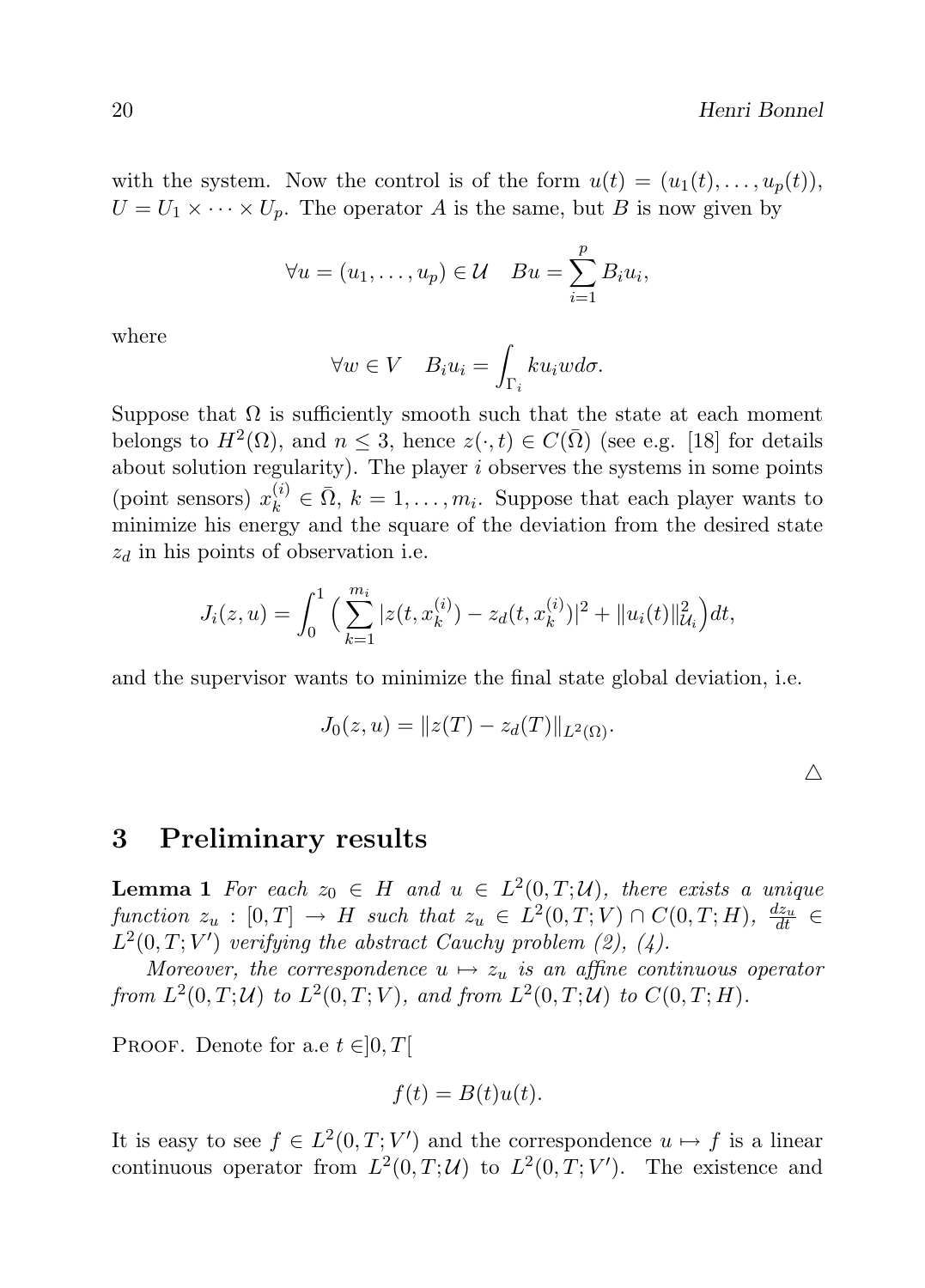$\triangle$ 

with the system. Now the control is of the form  $u(t) = (u_1(t), \ldots, u_n(t)),$  $U = U_1 \times \cdots \times U_p$ . The operator A is the same, but B is now given by

$$
\forall u = (u_1, \dots, u_p) \in \mathcal{U} \quad Bu = \sum_{i=1}^p B_i u_i,
$$

where

$$
\forall w \in V \quad B_i u_i = \int_{\Gamma_i} k u_i w d\sigma.
$$

Suppose that  $\Omega$  is sufficiently smooth such that the state at each moment belongs to  $H^2(\Omega)$ , and  $n \leq 3$ , hence  $z(\cdot, t) \in C(\overline{\Omega})$  (see e.g. [18] for details about solution regularity). The player  $i$  observes the systems in some points (point sensors)  $x_k^{(i)} \in \overline{\Omega}$ ,  $k = 1, ..., m_i$ . Suppose that each player wants to minimize his energy and the square of the deviation from the desired state  $z_d$  in his points of observation i.e.

$$
J_i(z, u) = \int_0^1 \Big( \sum_{k=1}^{m_i} |z(t, x_k^{(i)}) - z_d(t, x_k^{(i)})|^2 + \|u_i(t)\|_{\mathcal{U}_i}^2 \Big) dt,
$$

and the supervisor wants to minimize the final state global deviation, i.e.

$$
J_0(z, u) = ||z(T) - z_d(T)||_{L^2(\Omega)}.
$$

# 3 Preliminary results

**Lemma 1** For each  $z_0 \in H$  and  $u \in L^2(0,T;\mathcal{U})$ , there exists a unique function  $z_u : [0,T] \to H$  such that  $z_u \in L^2(0,T;V) \cap C(0,T;H)$ ,  $\frac{dz_u}{dt} \in$  $L^2(0,T;V')$  verifying the abstract Cauchy problem (2), (4).

Moreover, the correspondence  $u \mapsto z_u$  is an affine continuous operator from  $L^2(0,T; \mathcal{U})$  to  $L^2(0,T; V)$ , and from  $L^2(0,T; \mathcal{U})$  to  $C(0,T; H)$ .

PROOF. Denote for a.e  $t \in ]0, T[$ 

$$
f(t) = B(t)u(t).
$$

It is easy to see  $f \in L^2(0,T;V')$  and the correspondence  $u \mapsto f$  is a linear continuous operator from  $L^2(0,T;\mathcal{U})$  to  $L^2(0,T;V')$ . The existence and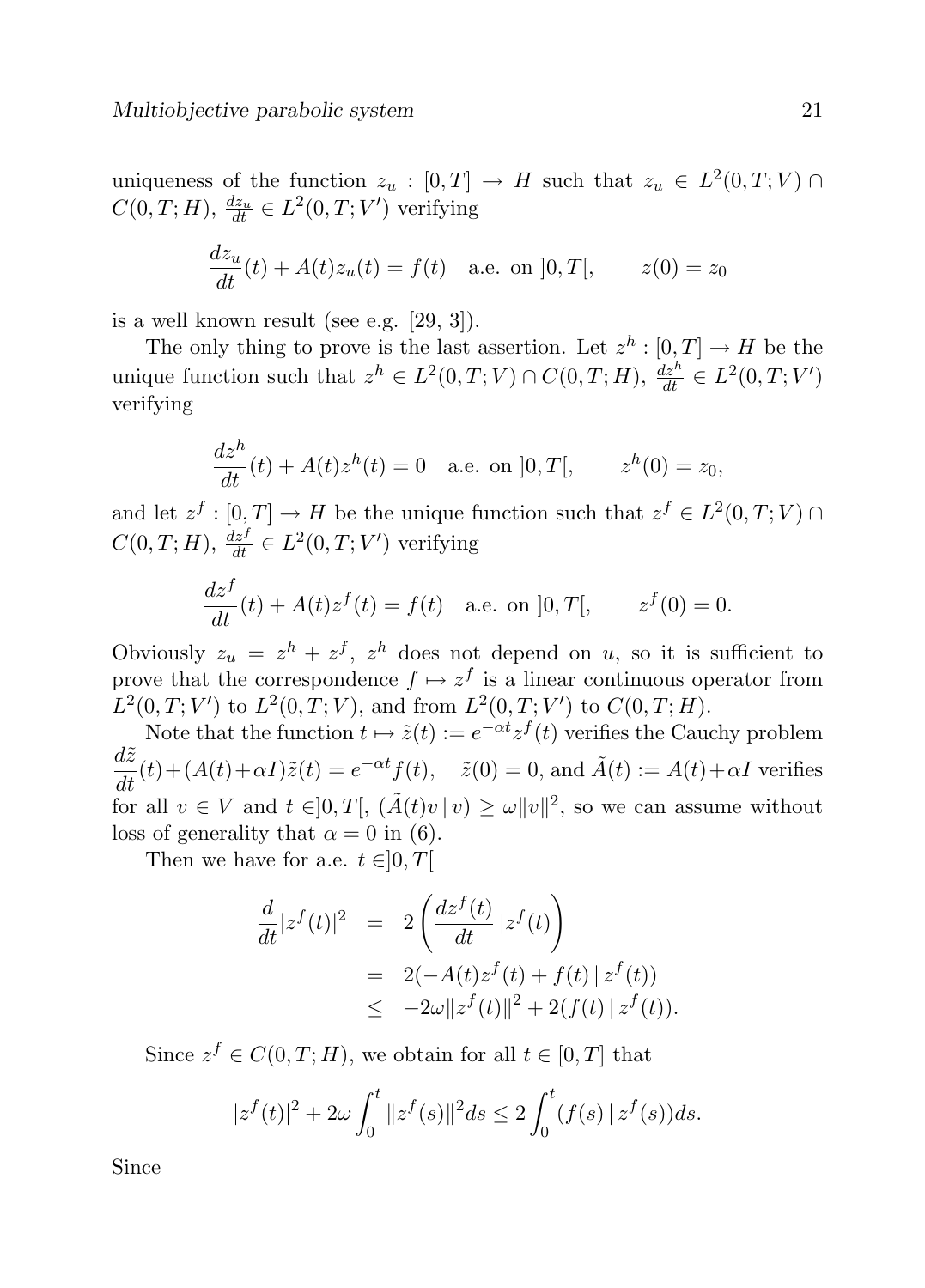uniqueness of the function  $z_u : [0, T] \to H$  such that  $z_u \in L^2(0, T; V) \cap$  $C(0, T; H), \frac{dz_u}{dt} \in L^2(0, T; V')$  verifying

$$
\frac{dz_u}{dt}(t) + A(t)z_u(t) = f(t) \text{ a.e. on } ]0, T[, \qquad z(0) = z_0
$$

is a well known result (see e.g. [29, 3]).

The only thing to prove is the last assertion. Let  $z^h : [0, T] \to H$  be the unique function such that  $z^h \in L^2(0,T;V) \cap C(0,T;H)$ ,  $\frac{dz^h}{dt} \in L^2(0,T;V')$ verifying

$$
\frac{dz^h}{dt}(t) + A(t)z^h(t) = 0
$$
 a.e. on  $]0, T[,$   $z^h(0) = z_0,$ 

and let  $z^f : [0, T] \to H$  be the unique function such that  $z^f \in L^2(0, T; V) \cap$  $C(0, T; H), \frac{dz^{f}}{dt} \in L^{2}(0, T; V')$  verifying

$$
\frac{dz^f}{dt}(t) + A(t)z^f(t) = f(t) \text{ a.e. on } ]0, T[, \qquad z^f(0) = 0.
$$

Obviously  $z_u = z^h + z^f$ ,  $z^h$  does not depend on u, so it is sufficient to prove that the correspondence  $f \mapsto z^f$  is a linear continuous operator from  $L^2(0,T;V')$  to  $L^2(0,T;V)$ , and from  $L^2(0,T;V')$  to  $C(0,T;H)$ .

Note that the function  $t \mapsto \tilde{z}(t) := e^{-\alpha t} z^f(t)$  verifies the Cauchy problem  $\frac{d\tilde{z}}{dt}(t) + (A(t) + \alpha I)\tilde{z}(t) = e^{-\alpha t}f(t), \quad \tilde{z}(0) = 0$ , and  $\tilde{A}(t) := A(t) + \alpha I$  verifies for all  $v \in V$  and  $t \in ]0,T[$ ,  $(\tilde{A}(t)v\,|\,v) \geq \omega ||v||^2$ , so we can assume without loss of generality that  $\alpha = 0$  in (6).

Then we have for a.e.  $t \in ]0, T[$ 

$$
\frac{d}{dt}|z^f(t)|^2 = 2\left(\frac{dz^f(t)}{dt}|z^f(t)\right)
$$
  
\n
$$
= 2(-A(t)z^f(t) + f(t)|z^f(t))
$$
  
\n
$$
\leq -2\omega||z^f(t)||^2 + 2(f(t)|z^f(t)).
$$

Since  $z^f \in C(0,T;H)$ , we obtain for all  $t \in [0,T]$  that

$$
|z^f(t)|^2 + 2\omega \int_0^t \|z^f(s)\|^2 ds \le 2 \int_0^t (f(s) | z^f(s)) ds.
$$

Since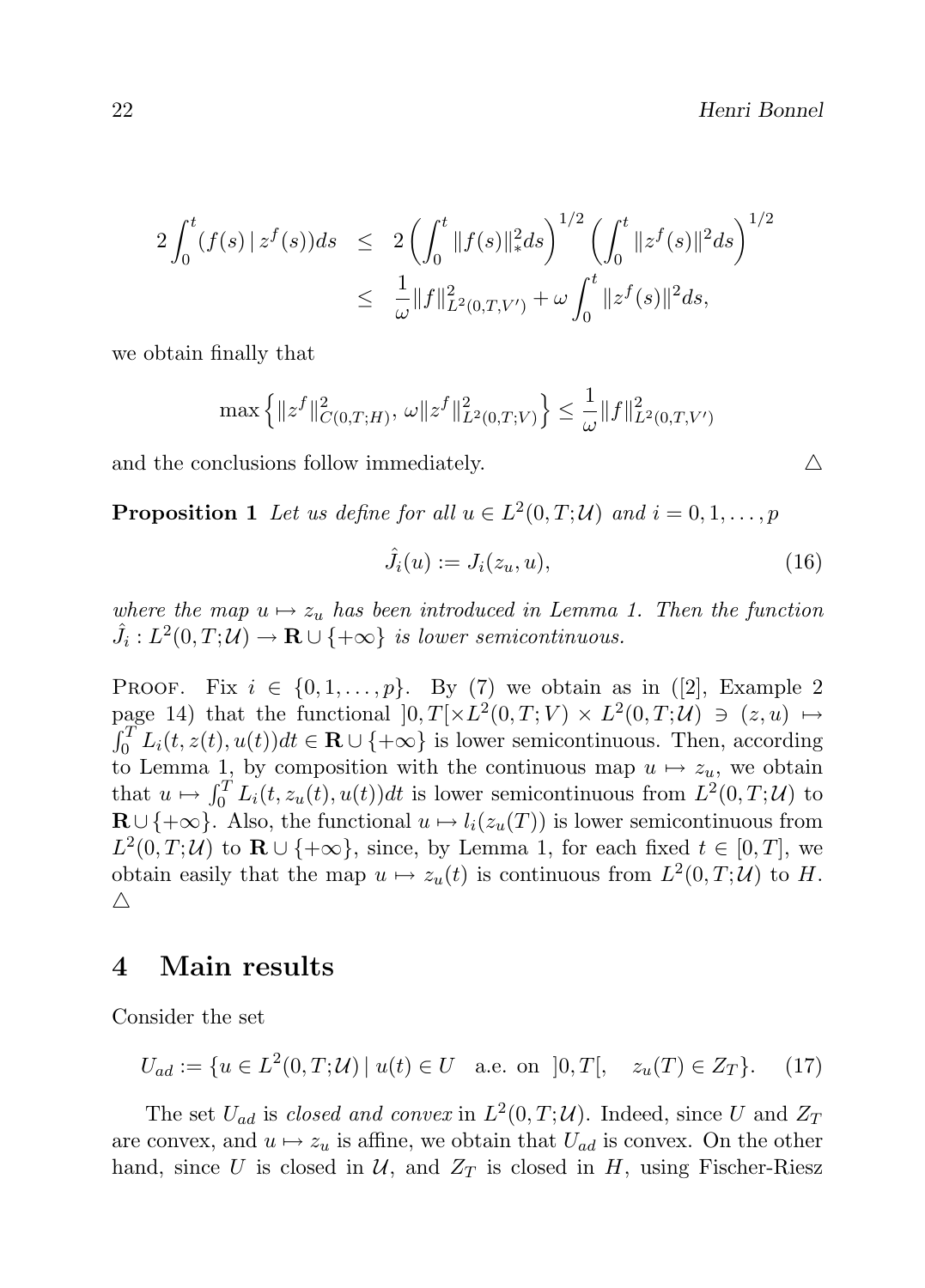$$
2\int_0^t (f(s) | z^f(s))ds \le 2\left(\int_0^t \|f(s)\|_{*}^2 ds\right)^{1/2} \left(\int_0^t \|z^f(s)\|^2 ds\right)^{1/2}
$$
  

$$
\le \frac{1}{\omega} \|f\|_{L^2(0,T,V')}^2 + \omega \int_0^t \|z^f(s)\|^2 ds,
$$

we obtain finally that

$$
\max\left\{\|z^f\|_{C(0,T;H)}^2,\,\omega\|z^f\|_{L^2(0,T;V)}^2\right\}\leq\frac{1}{\omega}\|f\|_{L^2(0,T;V')}^2
$$

and the conclusions follow immediately.

**Proposition 1** Let us define for all  $u \in L^2(0,T;\mathcal{U})$  and  $i = 0,1,\ldots,p$ 

$$
\hat{J}_i(u) := J_i(z_u, u),\tag{16}
$$

where the map  $u \mapsto z_u$  has been introduced in Lemma 1. Then the function  $\hat{J}_i: L^2(0,T; \mathcal{U}) \to \mathbf{R} \cup \{+\infty\}$  is lower semicontinuous.

PROOF. Fix  $i \in \{0, 1, \ldots, p\}$ . By (7) we obtain as in ([2], Example 2 page 14) that the functional  $[0, T] \times L^2(0,T;V) \times L^2(0,T;U) \ni (z, u) \mapsto$  $\int_0^T L_i(t, z(t), u(t))dt \in \mathbf{R} \cup \{+\infty\}$  is lower semicontinuous. Then, according to Lemma 1, by composition with the continuous map  $u \mapsto z_u$ , we obtain that  $u \mapsto \int_0^T L_i(t, z_u(t), u(t))dt$  is lower semicontinuous from  $L^2(0, T; \mathcal{U})$  to  $\mathbf{R} \cup \{+\infty\}$ . Also, the functional  $u \mapsto l_i(z_u(T))$  is lower semicontinuous from  $L^2(0,T;\mathcal{U})$  to  $\mathbf{R} \cup \{+\infty\}$ , since, by Lemma 1, for each fixed  $t \in [0,T]$ , we obtain easily that the map  $u \mapsto z_u(t)$  is continuous from  $L^2(0,T;\mathcal{U})$  to H.  $\triangle$ 

# 4 Main results

Consider the set

$$
U_{ad} := \{ u \in L^2(0, T; \mathcal{U}) \mid u(t) \in U \quad \text{a.e. on } ]0, T[, \quad z_u(T) \in Z_T \}. \tag{17}
$$

The set  $U_{ad}$  is *closed and convex* in  $L^2(0,T;\mathcal{U})$ . Indeed, since U and  $Z_T$ are convex, and  $u \mapsto z_u$  is affine, we obtain that  $U_{ad}$  is convex. On the other hand, since U is closed in  $U$ , and  $Z_T$  is closed in H, using Fischer-Riesz

$$
\triangle
$$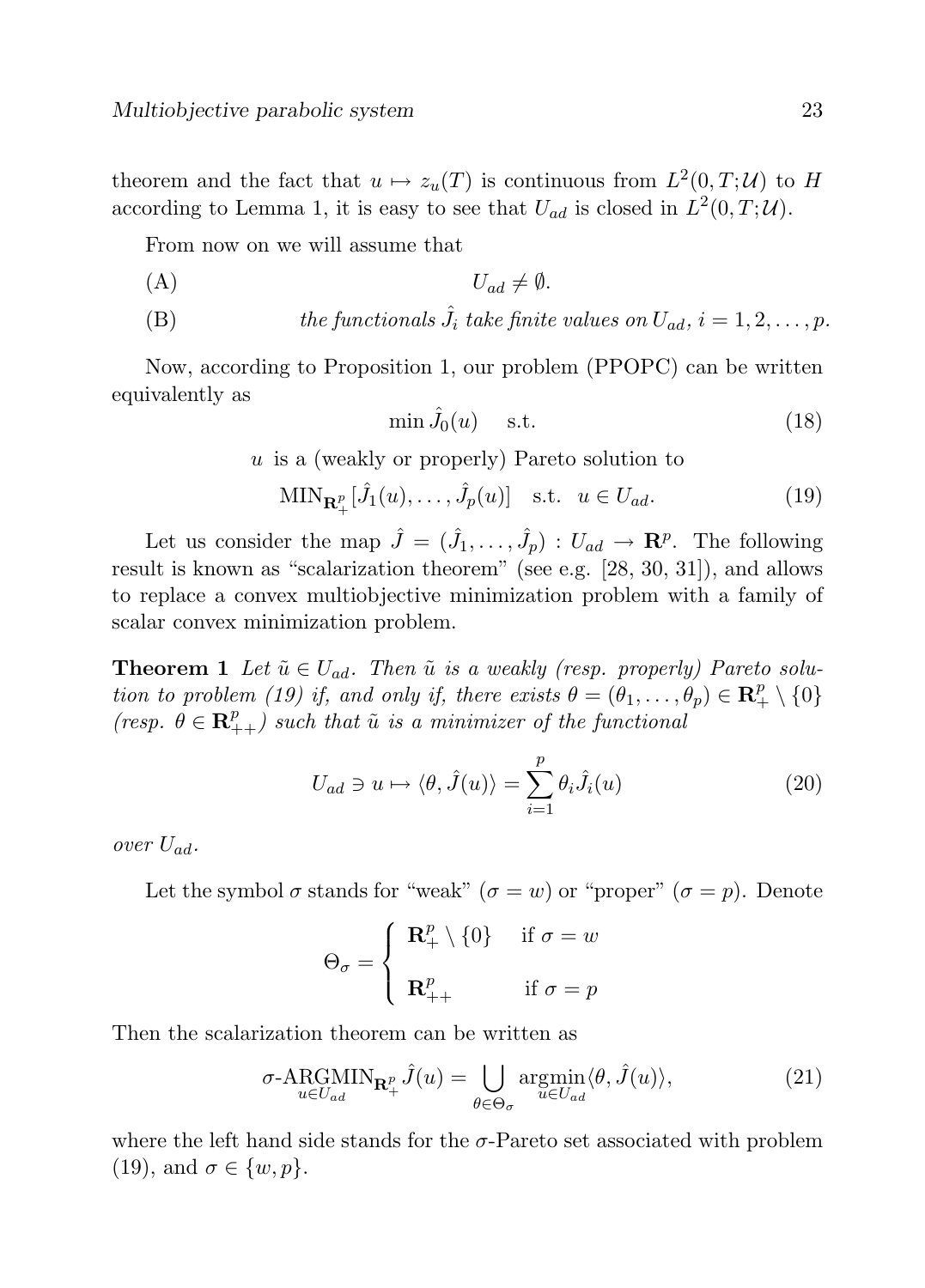theorem and the fact that  $u \mapsto z_u(T)$  is continuous from  $L^2(0,T;U)$  to H according to Lemma 1, it is easy to see that  $U_{ad}$  is closed in  $L^2(0,T;\mathcal{U})$ .

From now on we will assume that

$$
(A) \tU_{ad} \neq \emptyset.
$$

(B) the functionals  $\hat{J}_i$  take finite values on  $U_{ad}$ ,  $i = 1, 2, ..., p$ .

Now, according to Proposition 1, our problem (PPOPC) can be written equivalently as

$$
\min \hat{J}_0(u) \quad \text{s.t.} \tag{18}
$$

 $u$  is a (weakly or properly) Pareto solution to

$$
\text{MIN}_{\mathbf{R}_+^p}[\hat{J}_1(u),\ldots,\hat{J}_p(u)] \quad \text{s.t.} \quad u \in U_{ad}.\tag{19}
$$

Let us consider the map  $\hat{J} = (\hat{J}_1, \dots, \hat{J}_p) : U_{ad} \to \mathbb{R}^p$ . The following result is known as "scalarization theorem" (see e.g. [28, 30, 31]), and allows to replace a convex multiobjective minimization problem with a family of scalar convex minimization problem.

**Theorem 1** Let  $\tilde{u} \in U_{ad}$ . Then  $\tilde{u}$  is a weakly (resp. properly) Pareto solution to problem (19) if, and only if, there exists  $\theta = (\theta_1, \ldots, \theta_p) \in \mathbb{R}^p_+ \setminus \{0\}$ (resp.  $\theta \in \mathbb{R}_{++}^p$ ) such that  $\tilde{u}$  is a minimizer of the functional

$$
U_{ad} \ni u \mapsto \langle \theta, \hat{J}(u) \rangle = \sum_{i=1}^{p} \theta_i \hat{J}_i(u)
$$
 (20)

over  $U_{ad}$ .

Let the symbol  $\sigma$  stands for "weak"  $(\sigma = w)$  or "proper"  $(\sigma = p)$ . Denote

$$
\Theta_{\sigma} = \begin{cases} \mathbf{R}_{+}^{p} \setminus \{0\} & \text{if } \sigma = w \\ \mathbf{R}_{++}^{p} & \text{if } \sigma = p \end{cases}
$$

Then the scalarization theorem can be written as

$$
\sigma\text{-ARGMIN}_{u\in U_{ad}}\mathbf{R}_{+}^{p}\hat{J}(u) = \bigcup_{\theta \in \Theta_{\sigma}} \underset{u\in U_{ad}}{\operatorname{argmin}} \langle \theta, \hat{J}(u) \rangle, \tag{21}
$$

where the left hand side stands for the  $\sigma$ -Pareto set associated with problem (19), and  $\sigma \in \{w, p\}.$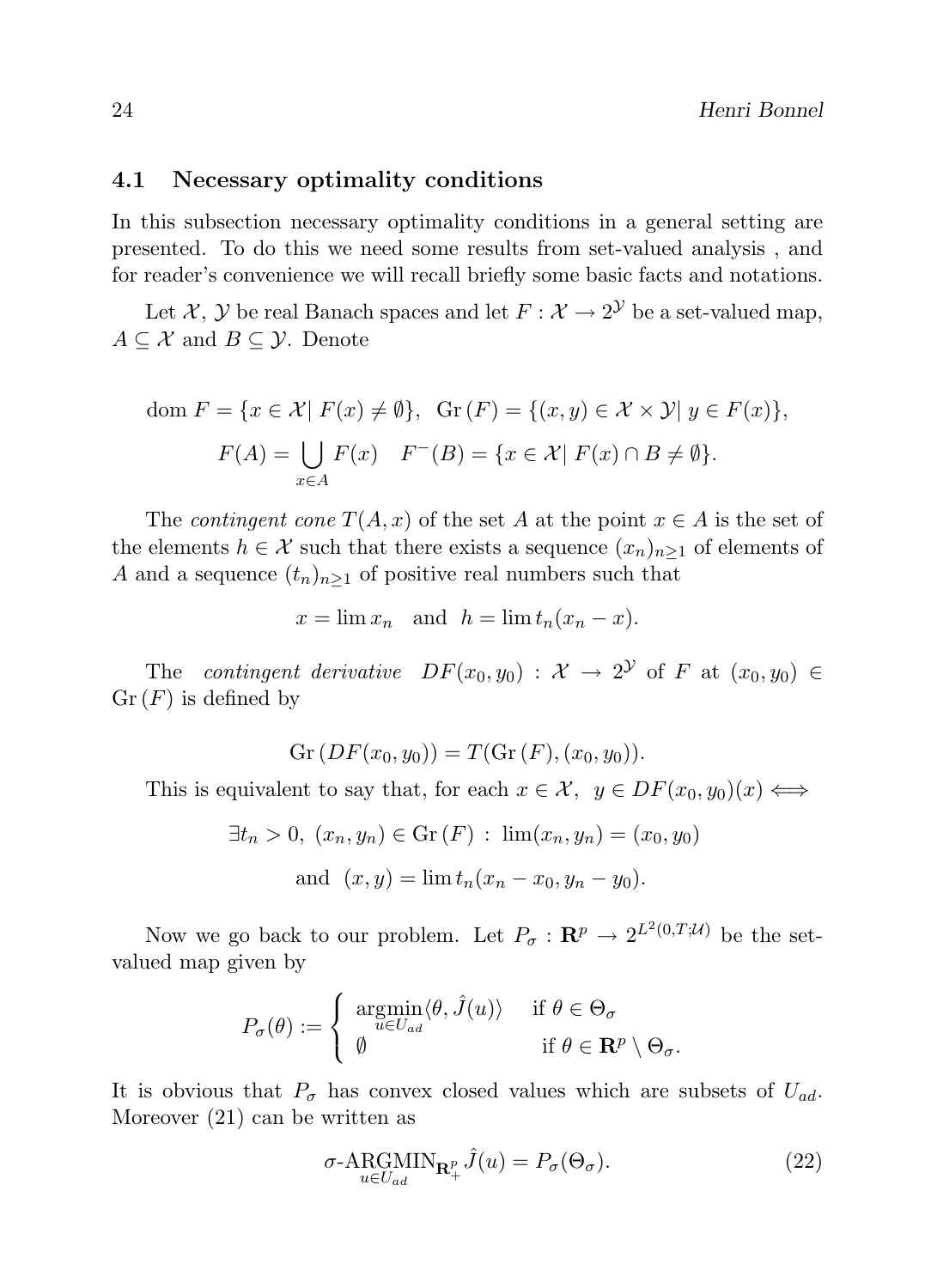#### 4.1 Necessary optimality conditions

In this subsection necessary optimality conditions in a general setting are presented. To do this we need some results from set-valued analysis , and for reader's convenience we will recall briefly some basic facts and notations.

Let X, Y be real Banach spaces and let  $F: \mathcal{X} \to 2^{\mathcal{Y}}$  be a set-valued map,  $A \subseteq \mathcal{X}$  and  $B \subseteq \mathcal{Y}$ . Denote

dom 
$$
F = \{x \in \mathcal{X} | F(x) \neq \emptyset\}
$$
,  $Gr(F) = \{(x, y) \in \mathcal{X} \times \mathcal{Y} | y \in F(x)\}$ ,  

$$
F(A) = \bigcup_{x \in A} F(x) \quad F^{-}(B) = \{x \in \mathcal{X} | F(x) \cap B \neq \emptyset\}.
$$

The *contingent cone*  $T(A, x)$  of the set A at the point  $x \in A$  is the set of the elements  $h \in \mathcal{X}$  such that there exists a sequence  $(x_n)_{n\geq 1}$  of elements of A and a sequence  $(t_n)_{n>1}$  of positive real numbers such that

$$
x = \lim x_n \quad \text{and} \quad h = \lim t_n (x_n - x).
$$

The contingent derivative  $DF(x_0, y_0) : \mathcal{X} \to 2^{\mathcal{Y}}$  of F at  $(x_0, y_0) \in$  $Gr(F)$  is defined by

$$
Gr(DF(x_0, y_0)) = T(Gr(F), (x_0, y_0)).
$$

This is equivalent to say that, for each  $x \in \mathcal{X}$ ,  $y \in DF(x_0, y_0)(x) \Longleftrightarrow$ 

$$
\exists t_n > 0, (x_n, y_n) \in \text{Gr}(F) : \lim(x_n, y_n) = (x_0, y_0)
$$
  
and  $(x, y) = \lim t_n (x_n - x_0, y_n - y_0).$ 

Now we go back to our problem. Let  $P_{\sigma}: \mathbf{R}^p \to 2^{L^2(0,T;\mathcal{U})}$  be the setvalued map given by

$$
P_{\sigma}(\theta) := \begin{cases} \underset{u \in U_{ad}}{\operatorname{argmin}} \langle \theta, \hat{J}(u) \rangle & \text{if } \theta \in \Theta_{\sigma} \\ \emptyset & \text{if } \theta \in \mathbf{R}^p \setminus \Theta_{\sigma}. \end{cases}
$$

It is obvious that  $P_{\sigma}$  has convex closed values which are subsets of  $U_{ad}$ . Moreover (21) can be written as

$$
\sigma\text{-ARGMIN}_{u\in U_{ad}} \mathbf{R}_{+}^{p} \hat{J}(u) = P_{\sigma}(\Theta_{\sigma}). \tag{22}
$$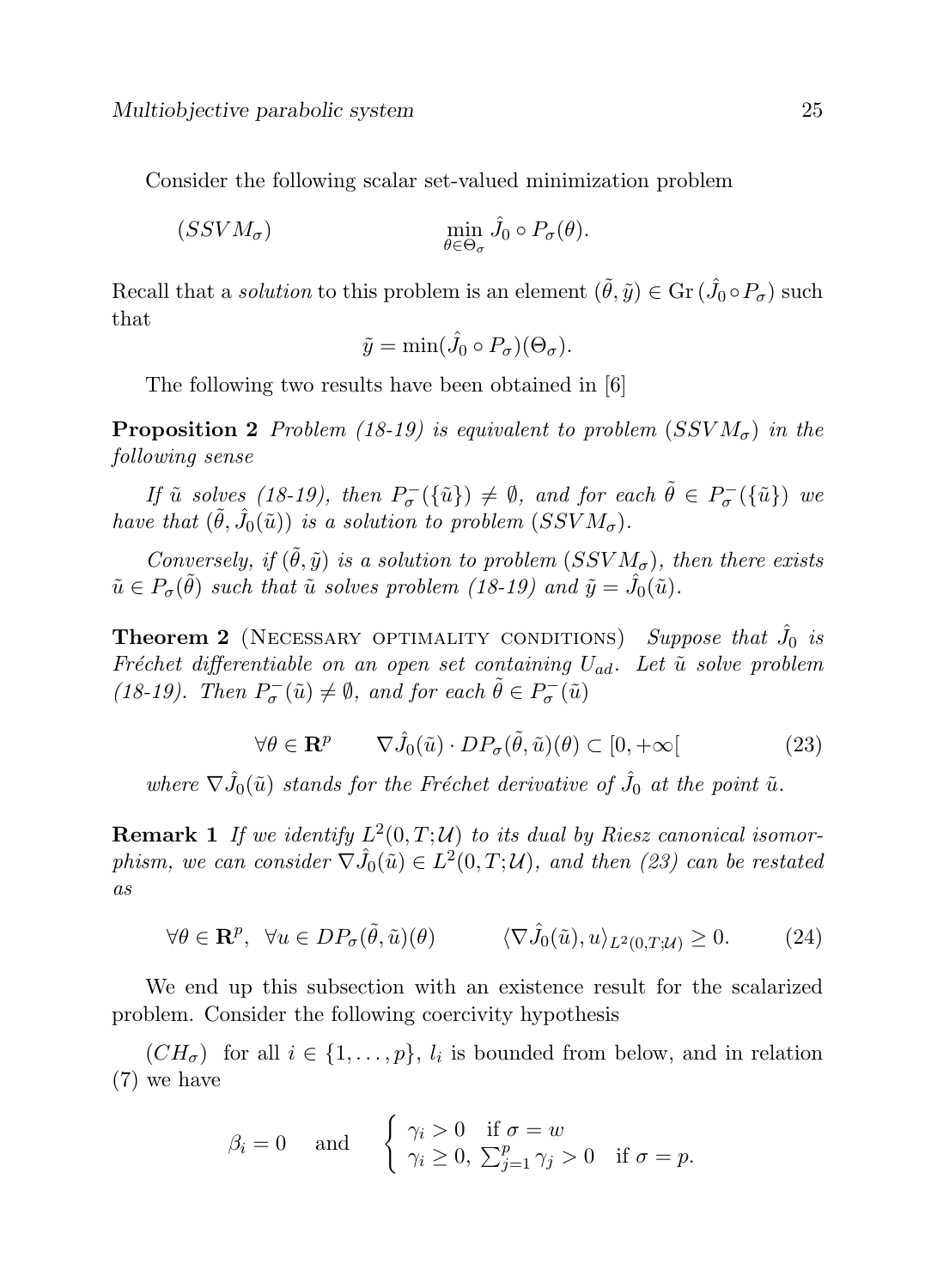Consider the following scalar set-valued minimization problem

$$
(SSVM_{\sigma}) \qquad \qquad \min_{\theta \in \Theta_{\sigma}} \hat{J}_0 \circ P_{\sigma}(\theta).
$$

Recall that a *solution* to this problem is an element  $(\tilde{\theta}, \tilde{y}) \in \text{Gr}(\hat{J}_0 \circ P_{\sigma})$  such that

$$
\tilde{y} = \min(\hat{J}_0 \circ P_{\sigma})(\Theta_{\sigma}).
$$

The following two results have been obtained in [6]

**Proposition 2** Problem (18-19) is equivalent to problem (SSV $M_{\sigma}$ ) in the following sense

If  $\tilde{u}$  solves (18-19), then  $P_{\sigma}^{-}(\{\tilde{u}\}) \neq \emptyset$ , and for each  $\tilde{\theta} \in P_{\sigma}^{-}(\{\tilde{u}\})$  we have that  $(\tilde{\theta}, \hat{J}_0(\tilde{u}))$  is a solution to problem  $(SSVM_{\sigma}).$ 

Conversely, if  $(\tilde{\theta}, \tilde{y})$  is a solution to problem  $(SSVM_{\sigma})$ , then there exists  $\tilde{u} \in P_{\sigma}(\tilde{\theta})$  such that  $\tilde{u}$  solves problem (18-19) and  $\tilde{y} = \hat{J}_0(\tilde{u})$ .

**Theorem 2** (NECESSARY OPTIMALITY CONDITIONS) Suppose that  $\hat{J}_0$  is Fréchet differentiable on an open set containing  $U_{ad}$ . Let  $\tilde{u}$  solve problem (18-19). Then  $P_{\sigma}^{-}(\tilde{u}) \neq \emptyset$ , and for each  $\tilde{\theta} \in P_{\sigma}^{-}(\tilde{u})$ 

$$
\forall \theta \in \mathbf{R}^p \qquad \nabla \hat{J}_0(\tilde{u}) \cdot DP_{\sigma}(\tilde{\theta}, \tilde{u})(\theta) \subset [0, +\infty[ \tag{23}
$$

where  $\nabla \hat{J}_0(\tilde{u})$  stands for the Fréchet derivative of  $\hat{J}_0$  at the point  $\tilde{u}$ .

**Remark 1** If we identify  $L^2(0,T;\mathcal{U})$  to its dual by Riesz canonical isomorphism, we can consider  $\nabla \hat{J}_0(\tilde{u}) \in L^2(0,T; \mathcal{U})$ , and then (23) can be restated as

$$
\forall \theta \in \mathbf{R}^p, \ \forall u \in DP_{\sigma}(\tilde{\theta}, \tilde{u})(\theta) \qquad \langle \nabla \hat{J}_0(\tilde{u}), u \rangle_{L^2(0, T; \mathcal{U})} \ge 0. \tag{24}
$$

We end up this subsection with an existence result for the scalarized problem. Consider the following coercivity hypothesis

 $(CH_{\sigma})$  for all  $i \in \{1, ..., p\}, l_i$  is bounded from below, and in relation (7) we have

$$
\beta_i = 0 \quad \text{and} \quad \begin{cases} \gamma_i > 0 \quad \text{if } \sigma = w \\ \gamma_i \ge 0, \ \sum_{j=1}^p \gamma_j > 0 \quad \text{if } \sigma = p. \end{cases}
$$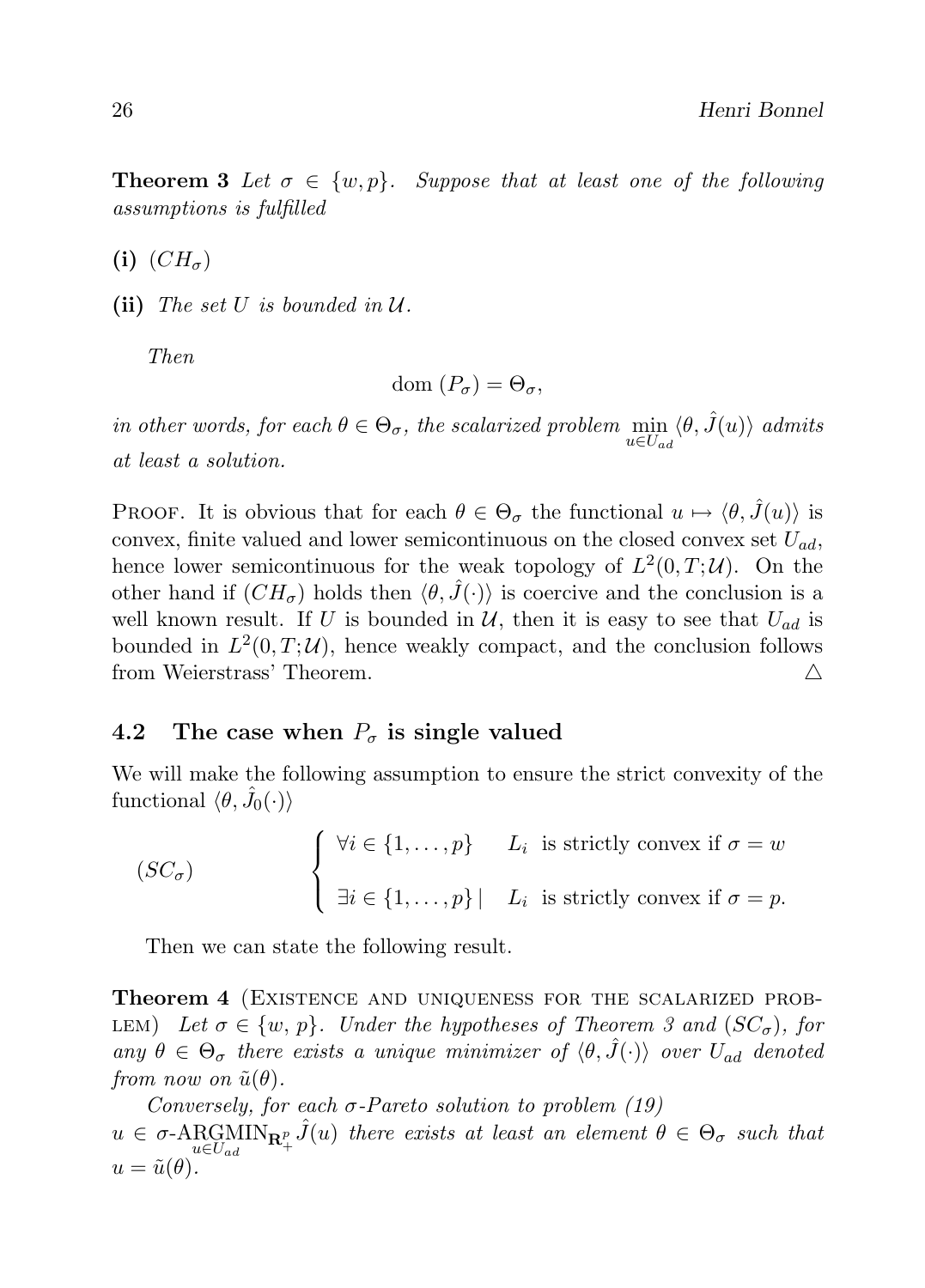**Theorem 3** Let  $\sigma \in \{w, p\}$ . Suppose that at least one of the following assumptions is fulfilled

(i)  $(CH_{\sigma})$ 

(ii) The set U is bounded in  $\mathcal U$ .

Then

$$
\mathrm{dom}\,(P_{\sigma})=\Theta_{\sigma},
$$

in other words, for each  $\theta \in \Theta_{\sigma}$ , the scalarized problem  $\min_{u \in U_{ad}} \langle \theta, \hat{J}(u) \rangle$  admits at least a solution.

PROOF. It is obvious that for each  $\theta \in \Theta_{\sigma}$  the functional  $u \mapsto \langle \theta, \hat{J}(u) \rangle$  is convex, finite valued and lower semicontinuous on the closed convex set  $U_{ad}$ , hence lower semicontinuous for the weak topology of  $L^2(0,T;\mathcal{U})$ . On the other hand if  $(CH_{\sigma})$  holds then  $\langle \theta, \hat{J}(\cdot) \rangle$  is coercive and the conclusion is a well known result. If U is bounded in U, then it is easy to see that  $U_{ad}$  is bounded in  $L^2(0,T;\mathcal{U})$ , hence weakly compact, and the conclusion follows from Weierstrass' Theorem.  $\triangle$ 

### 4.2 The case when  $P_{\sigma}$  is single valued

We will make the following assumption to ensure the strict convexity of the functional  $\langle \theta, \hat{J}_0(\cdot) \rangle$ 

$$
(SC_{\sigma}) \qquad \begin{cases} \forall i \in \{1, ..., p\} & L_i \text{ is strictly convex if } \sigma = w \\ \exists i \in \{1, ..., p\} \mid L_i \text{ is strictly convex if } \sigma = p. \end{cases}
$$

Then we can state the following result.

Theorem 4 (Existence and uniqueness for the scalarized prob-LEM) Let  $\sigma \in \{w, p\}$ . Under the hypotheses of Theorem 3 and  $(SC_{\sigma})$ , for any  $\theta \in \Theta_{\sigma}$  there exists a unique minimizer of  $\langle \theta, \hat{J}(\cdot) \rangle$  over  $U_{ad}$  denoted from now on  $\tilde{u}(\theta)$ .

Conversely, for each  $\sigma$ -Pareto solution to problem (19)  $u \in \sigma\text{-ARGMIN}_{u \in U_{ad}} \mathcal{F}_+ \hat{J}(u)$  there exists at least an element  $\theta \in \Theta_{\sigma}$  such that  $u = \tilde{u}(\theta).$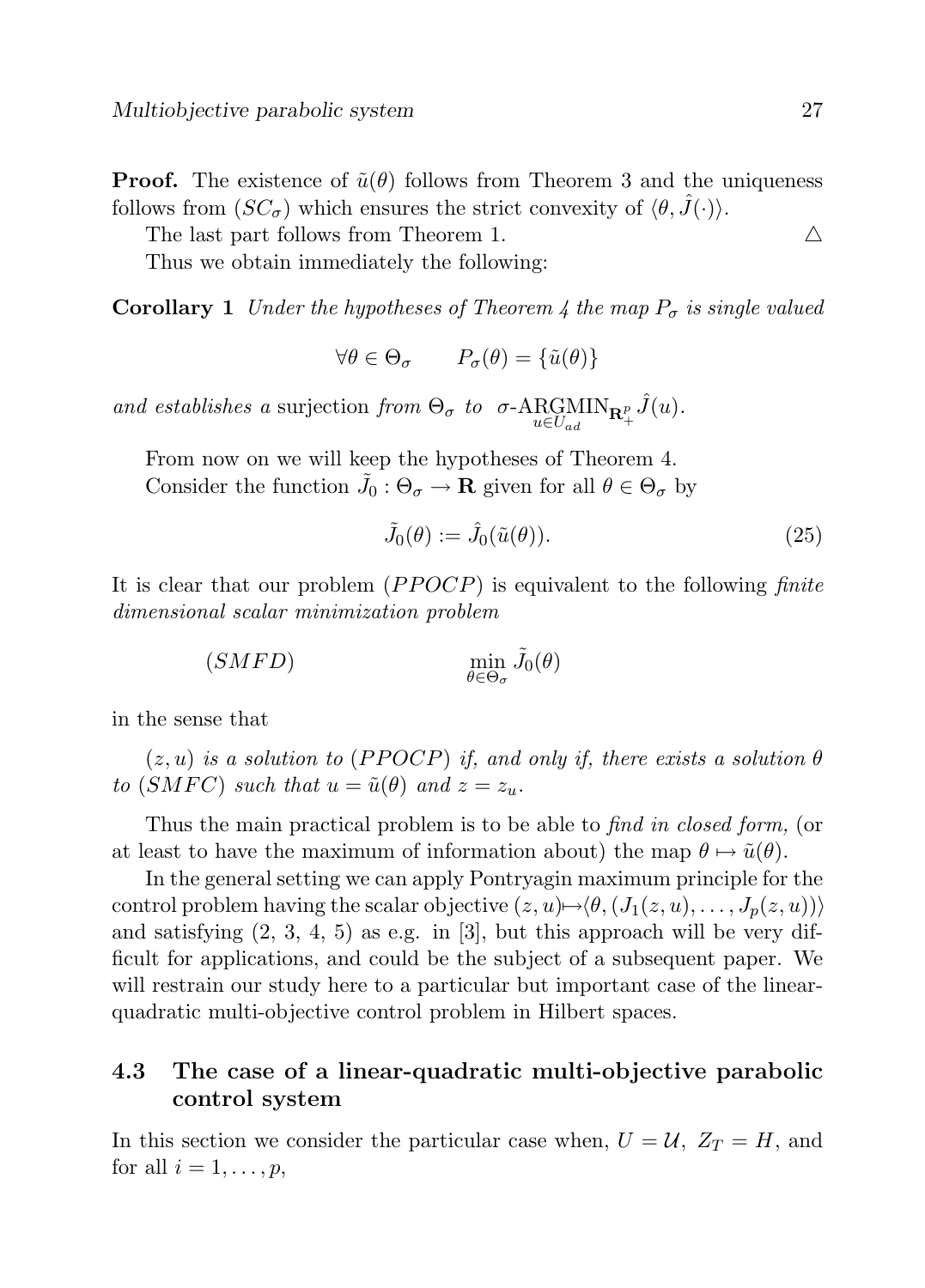**Proof.** The existence of  $\tilde{u}(\theta)$  follows from Theorem 3 and the uniqueness follows from  $(SC_{\sigma})$  which ensures the strict convexity of  $\langle \theta, \hat{J}(\cdot) \rangle$ .

The last part follows from Theorem 1.  $\triangle$ 

Thus we obtain immediately the following:

**Corollary 1** Under the hypotheses of Theorem 4 the map  $P_{\sigma}$  is single valued

$$
\forall \theta \in \Theta_{\sigma} \qquad P_{\sigma}(\theta) = \{\tilde{u}(\theta)\}\
$$

and establishes a surjection from  $\Theta_{\sigma}$  to  $\sigma$ -ARGMIN $_{\mathbf{R}_{+}^{p}}\hat{J}(u)$ .

From now on we will keep the hypotheses of Theorem 4. Consider the function  $\tilde{J}_0$  :  $\Theta_{\sigma} \to \mathbf{R}$  given for all  $\theta \in \Theta_{\sigma}$  by

$$
\tilde{J}_0(\theta) := \hat{J}_0(\tilde{u}(\theta)).\tag{25}
$$

It is clear that our problem  $(PPOCP)$  is equivalent to the following finite dimensional scalar minimization problem

> $(SMFD)$  $\min_{\theta \in \Theta_{\sigma}} \tilde{J}_0(\theta)$

in the sense that

 $(z, u)$  is a solution to (PPOCP) if, and only if, there exists a solution  $\theta$ to (SMFC) such that  $u = \tilde{u}(\theta)$  and  $z = z_u$ .

Thus the main practical problem is to be able to find in closed form, (or at least to have the maximum of information about) the map  $\theta \mapsto \tilde{u}(\theta)$ .

In the general setting we can apply Pontryagin maximum principle for the control problem having the scalar objective  $(z, u) \rightarrow (\theta, (J_1(z, u), \ldots, J_n(z, u)))$ and satisfying  $(2, 3, 4, 5)$  as e.g. in [3], but this approach will be very difficult for applications, and could be the subject of a subsequent paper. We will restrain our study here to a particular but important case of the linearquadratic multi-objective control problem in Hilbert spaces.

### 4.3 The case of a linear-quadratic multi-objective parabolic control system

In this section we consider the particular case when,  $U = U$ ,  $Z_T = H$ , and for all  $i = 1, \ldots, p$ ,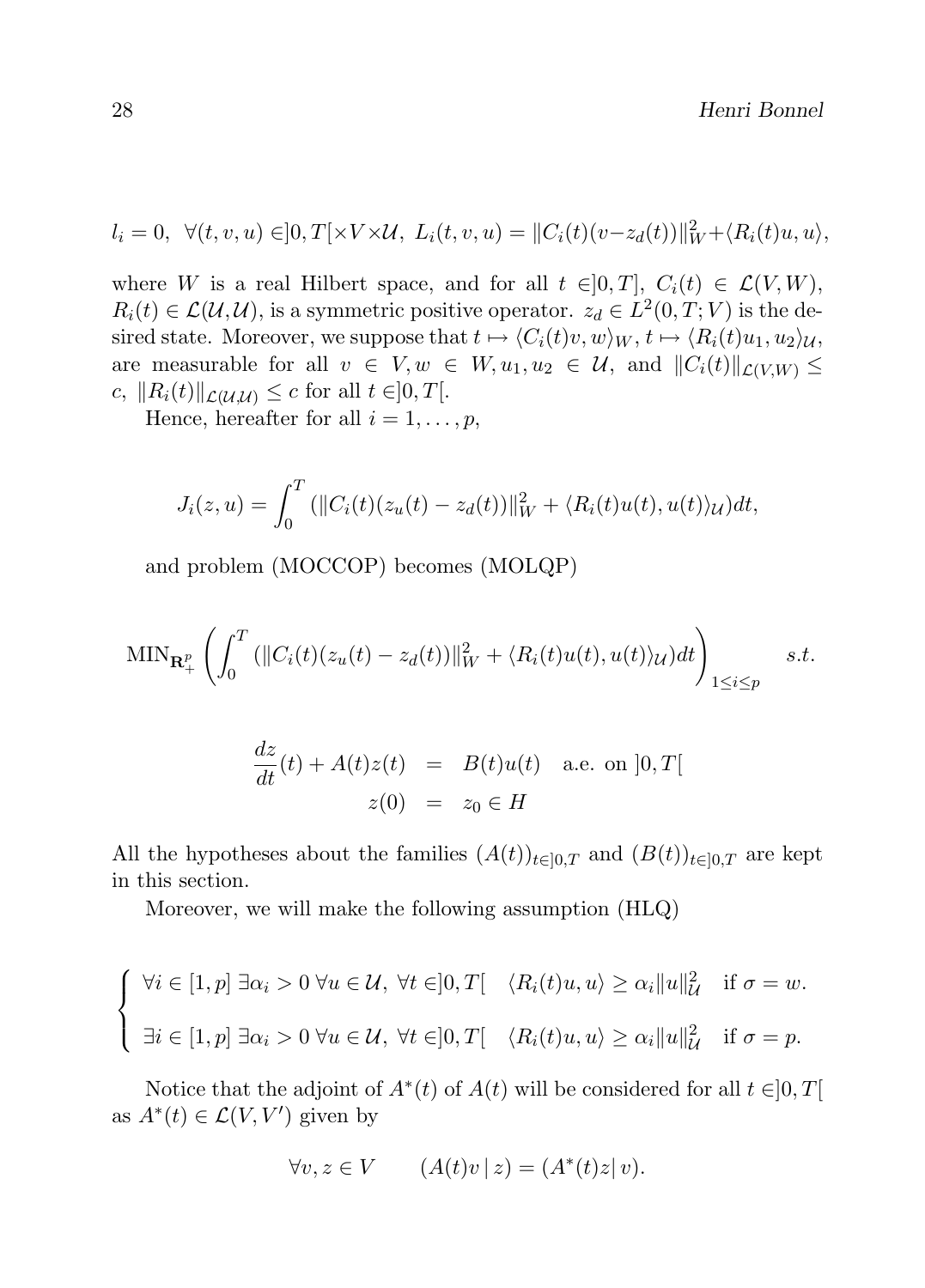$$
l_i = 0, \ \ \forall (t, v, u) \in ]0, T[ \times V \times \mathcal{U}, \ L_i(t, v, u) = ||C_i(t)(v - z_d(t))||_W^2 + \langle R_i(t)u, u \rangle,
$$

where W is a real Hilbert space, and for all  $t \in ]0, T]$ ,  $C_i(t) \in \mathcal{L}(V, W)$ ,  $R_i(t) \in \mathcal{L}(\mathcal{U}, \mathcal{U})$ , is a symmetric positive operator.  $z_d \in L^2(0, T; V)$  is the desired state. Moreover, we suppose that  $t \mapsto \langle C_i(t)v, w \rangle_W, t \mapsto \langle R_i(t)u_1, u_2 \rangle_{\mathcal{U}},$ are measurable for all  $v \in V, w \in W, u_1, u_2 \in \mathcal{U}$ , and  $||C_i(t)||_{\mathcal{L}(V,W)} \le$ c,  $||R_i(t)||_{\mathcal{L}(\mathcal{U},\mathcal{U})} \leq c$  for all  $t \in ]0,T[$ .

Hence, hereafter for all  $i = 1, \ldots, p$ ,

$$
J_i(z, u) = \int_0^T (||C_i(t)(z_u(t) - z_d(t))||_W^2 + \langle R_i(t)u(t), u(t) \rangle_U)dt,
$$

and problem (MOCCOP) becomes (MOLQP)

$$
\text{MIN}_{\mathbf{R}_+^p} \left( \int_0^T \left( \|C_i(t)(z_u(t) - z_d(t))\|_W^2 + \langle R_i(t)u(t), u(t) \rangle_{\mathcal{U}} \right) dt \right)_{1 \le i \le p} s.t.
$$

$$
\frac{dz}{dt}(t) + A(t)z(t) = B(t)u(t) \text{ a.e. on } ]0,T[
$$
  

$$
z(0) = z_0 \in H
$$

All the hypotheses about the families  $(A(t))_{t\in[0,T]}$  and  $(B(t))_{t\in[0,T]}$  are kept in this section.

Moreover, we will make the following assumption (HLQ)

$$
\begin{cases} \forall i \in [1, p] \exists \alpha_i > 0 \ \forall u \in \mathcal{U}, \ \forall t \in ]0, T[ \quad \langle R_i(t)u, u \rangle \ge \alpha_i ||u||_{\mathcal{U}}^2 \quad \text{if } \sigma = w. \\ \exists i \in [1, p] \ \exists \alpha_i > 0 \ \forall u \in \mathcal{U}, \ \forall t \in ]0, T[ \quad \langle R_i(t)u, u \rangle \ge \alpha_i ||u||_{\mathcal{U}}^2 \quad \text{if } \sigma = p. \end{cases}
$$

Notice that the adjoint of  $A^*(t)$  of  $A(t)$  will be considered for all  $t \in ]0,T[$ as  $A^*(t) \in \mathcal{L}(V, V')$  given by

$$
\forall v, z \in V \qquad (A(t)v \mid z) = (A^*(t)z \mid v).
$$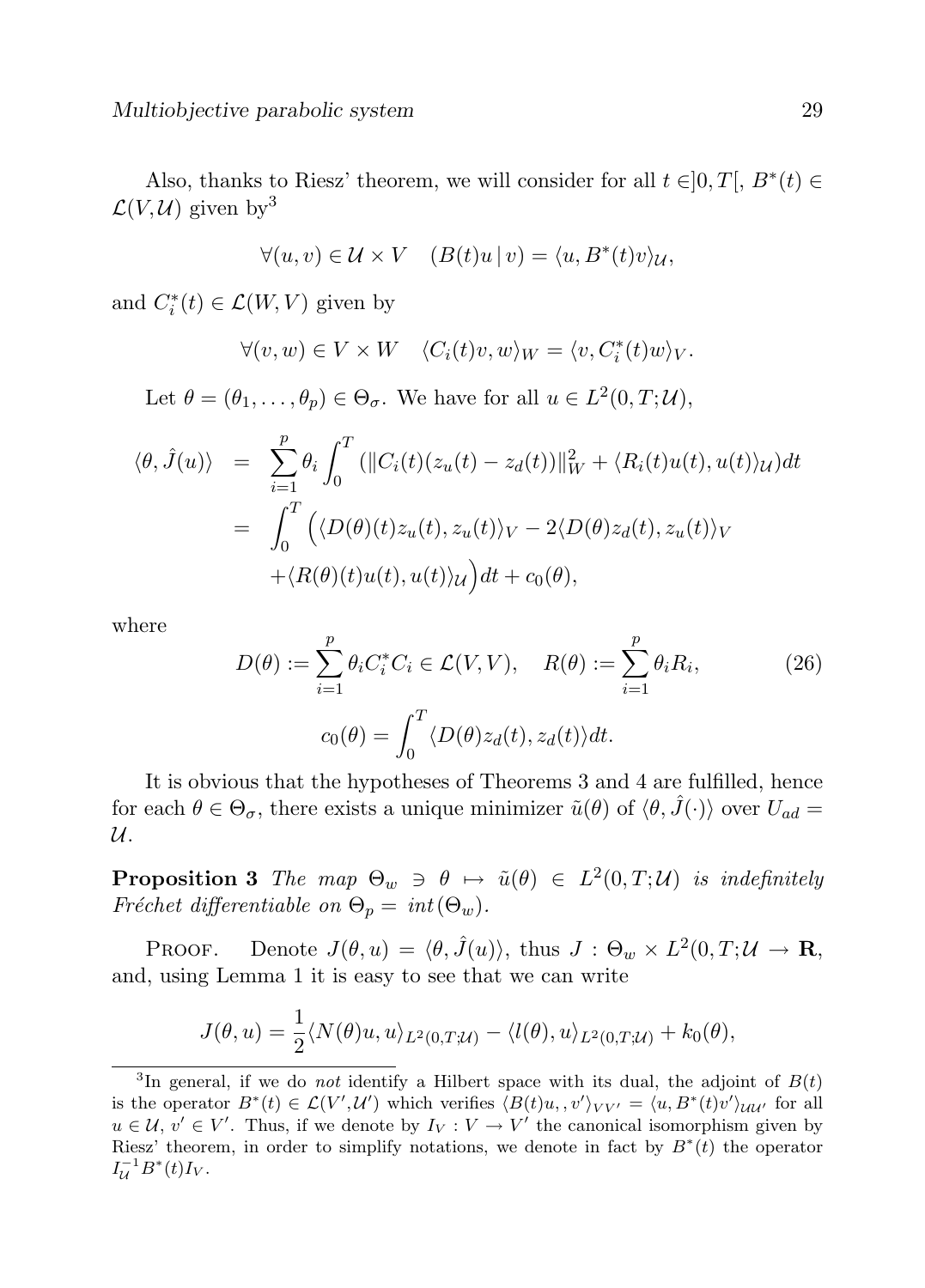Also, thanks to Riesz' theorem, we will consider for all  $t \in ]0, T[$ ,  $B^*(t) \in$  $\mathcal{L}(V, \mathcal{U})$  given by<sup>3</sup>

$$
\forall (u, v) \in \mathcal{U} \times V \quad (B(t)u \,|\, v) = \langle u, B^*(t)v \rangle_{\mathcal{U}},
$$

and  $C_i^*(t) \in \mathcal{L}(W, V)$  given by

$$
\forall (v, w) \in V \times W \quad \langle C_i(t)v, w \rangle_W = \langle v, C_i^*(t)w \rangle_V.
$$

Let  $\theta = (\theta_1, \dots, \theta_p) \in \Theta_{\sigma}$ . We have for all  $u \in L^2(0, T; \mathcal{U}),$ 

$$
\langle \theta, \hat{J}(u) \rangle = \sum_{i=1}^{p} \theta_i \int_0^T (||C_i(t)(z_u(t) - z_d(t))||_W^2 + \langle R_i(t)u(t), u(t) \rangle_U) dt
$$
  

$$
= \int_0^T \left( \langle D(\theta)(t)z_u(t), z_u(t) \rangle_V - 2\langle D(\theta)z_d(t), z_u(t) \rangle_V \right. \\ \left. + \langle R(\theta)(t)u(t), u(t) \rangle_U \right) dt + c_0(\theta),
$$

where

$$
D(\theta) := \sum_{i=1}^{p} \theta_i C_i^* C_i \in \mathcal{L}(V, V), \quad R(\theta) := \sum_{i=1}^{p} \theta_i R_i,
$$
  

$$
c_0(\theta) = \int_0^T \langle D(\theta) z_d(t), z_d(t) \rangle dt.
$$
 (26)

It is obvious that the hypotheses of Theorems 3 and 4 are fulfilled, hence for each  $\theta \in \Theta_{\sigma}$ , there exists a unique minimizer  $\tilde{u}(\theta)$  of  $\langle \theta, \hat{J}(\cdot)\rangle$  over  $U_{ad}$  $\mathcal{U}.$ 

**Proposition 3** The map  $\Theta_w \ni \theta \mapsto \tilde{u}(\theta) \in L^2(0,T;\mathcal{U})$  is indefinitely Fréchet differentiable on  $\Theta_p = int(\Theta_w)$ .

PROOF. Denote  $J(\theta, u) = \langle \theta, \hat{J}(u) \rangle$ , thus  $J : \Theta_w \times L^2(0, T; \mathcal{U} \to \mathbf{R})$ , and, using Lemma 1 it is easy to see that we can write

$$
J(\theta, u) = \frac{1}{2} \langle N(\theta)u, u \rangle_{L^2(0,T;\mathcal{U})} - \langle l(\theta), u \rangle_{L^2(0,T;\mathcal{U})} + k_0(\theta),
$$

<sup>&</sup>lt;sup>3</sup>In general, if we do *not* identify a Hilbert space with its dual, the adjoint of  $B(t)$ is the operator  $B^*(t) \in \mathcal{L}(V',\mathcal{U}')$  which verifies  $\langle B(t)u, v' \rangle_{VV'} = \langle u, B^*(t)v' \rangle_{\mathcal{UU}'}$  for all  $u \in \mathcal{U}, v' \in V'$ . Thus, if we denote by  $I_V : V \to V'$  the canonical isomorphism given by Riesz' theorem, in order to simplify notations, we denote in fact by  $B^*(t)$  the operator  $I_{\mathcal{U}}^{-1} B^*(t) I_V.$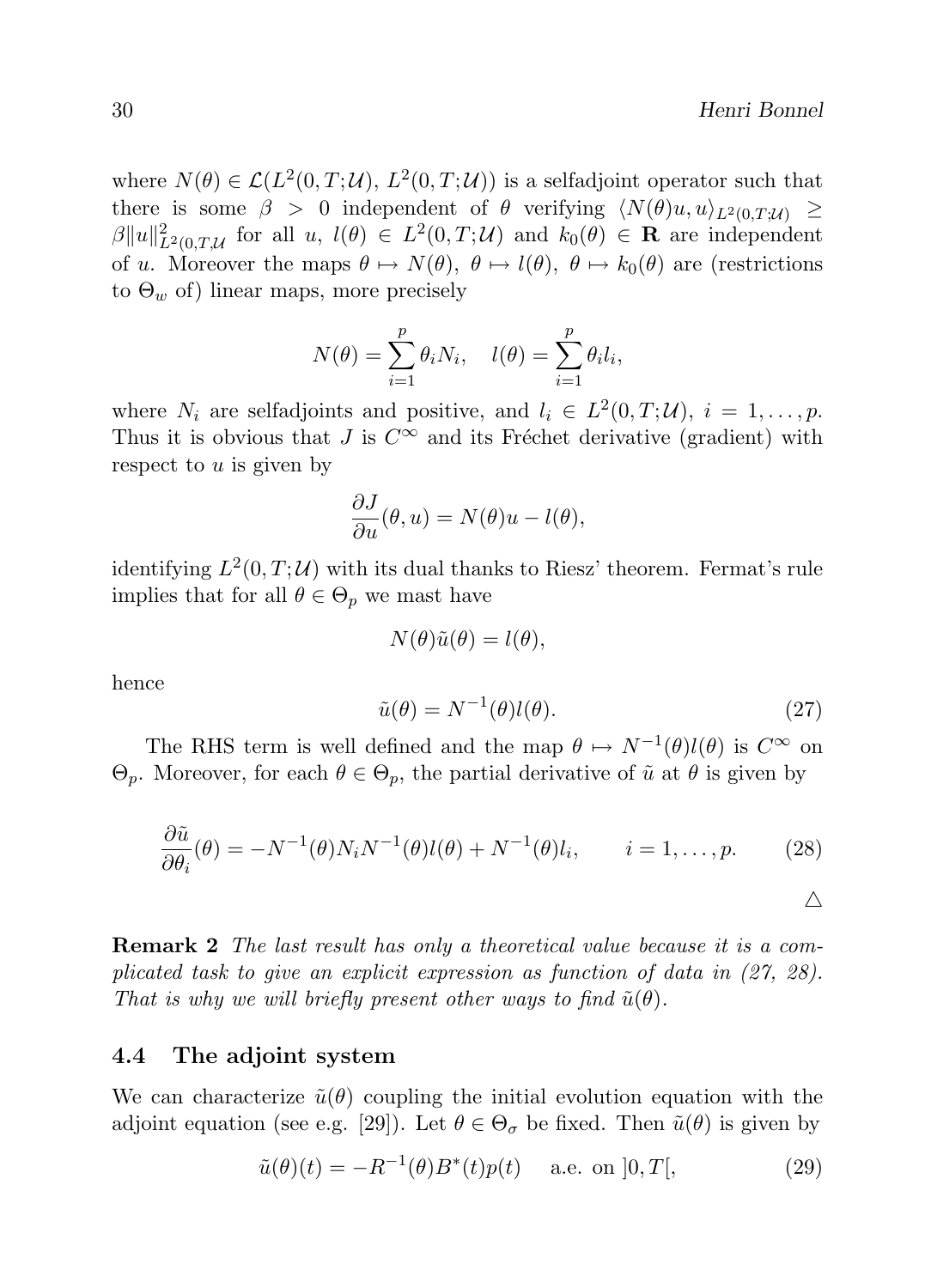$\triangle$ 

where  $N(\theta) \in \mathcal{L}(L^2(0,T;\mathcal{U}), L^2(0,T;\mathcal{U}))$  is a selfadjoint operator such that there is some  $\beta > 0$  independent of  $\theta$  verifying  $\langle N(\theta)u, u \rangle_{L^2(0,T;\mathcal{U})} \geq$  $\beta ||u||_{L^2(0,T;\mathcal{U})}^2$  for all  $u, l(\theta) \in L^2(0,T;\mathcal{U})$  and  $k_0(\theta) \in \mathbf{R}$  are independent of u. Moreover the maps  $\theta \mapsto N(\theta)$ ,  $\theta \mapsto l(\theta)$ ,  $\theta \mapsto k_0(\theta)$  are (restrictions to  $\Theta_w$  of) linear maps, more precisely

$$
N(\theta) = \sum_{i=1}^{p} \theta_i N_i, \quad l(\theta) = \sum_{i=1}^{p} \theta_i l_i,
$$

where  $N_i$  are selfadjoints and positive, and  $l_i \in L^2(0,T; \mathcal{U})$ ,  $i = 1,\ldots,p$ . Thus it is obvious that J is  $C^{\infty}$  and its Fréchet derivative (gradient) with respect to  $u$  is given by

$$
\frac{\partial J}{\partial u}(\theta, u) = N(\theta)u - l(\theta),
$$

identifying  $L^2(0,T;\mathcal{U})$  with its dual thanks to Riesz' theorem. Fermat's rule implies that for all  $\theta \in \Theta_p$  we mast have

$$
N(\theta)\tilde{u}(\theta) = l(\theta),
$$

hence

$$
\tilde{u}(\theta) = N^{-1}(\theta)l(\theta). \tag{27}
$$

The RHS term is well defined and the map  $\theta \mapsto N^{-1}(\theta)l(\theta)$  is  $C^{\infty}$  on  $\Theta_p$ . Moreover, for each  $\theta \in \Theta_p$ , the partial derivative of  $\tilde{u}$  at  $\theta$  is given by

$$
\frac{\partial \tilde{u}}{\partial \theta_i}(\theta) = -N^{-1}(\theta)N_iN^{-1}(\theta)l(\theta) + N^{-1}(\theta)l_i, \qquad i = 1, \dots, p. \tag{28}
$$

**Remark 2** The last result has only a theoretical value because it is a complicated task to give an explicit expression as function of data in (27, 28). That is why we will briefly present other ways to find  $\tilde{u}(\theta)$ .

#### 4.4 The adjoint system

We can characterize  $\tilde{u}(\theta)$  coupling the initial evolution equation with the adjoint equation (see e.g. [29]). Let  $\theta \in \Theta_{\sigma}$  be fixed. Then  $\tilde{u}(\theta)$  is given by

$$
\tilde{u}(\theta)(t) = -R^{-1}(\theta)B^*(t)p(t) \quad \text{a.e. on } ]0, T[, \tag{29}
$$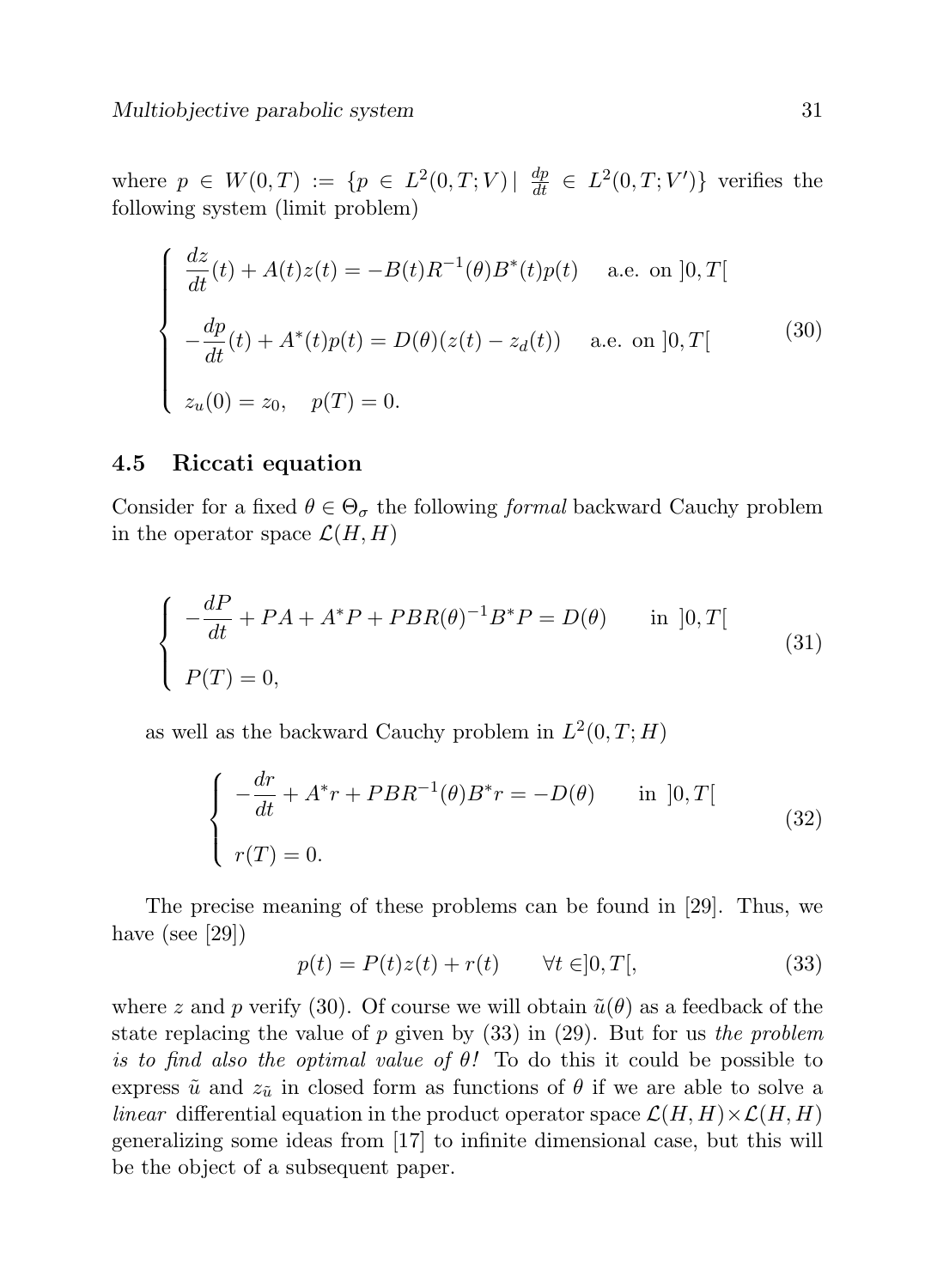where  $p \in W(0,T) := \{p \in L^2(0,T;V) | \frac{dp}{dt} \in L^2(0,T;V')\}$  verifies the following system (limit problem)

$$
\begin{cases}\n\frac{dz}{dt}(t) + A(t)z(t) = -B(t)R^{-1}(\theta)B^*(t)p(t) & \text{a.e. on } ]0, T[ \\
-\frac{dp}{dt}(t) + A^*(t)p(t) = D(\theta)(z(t) - z_d(t)) & \text{a.e. on } ]0, T[ \\
z_u(0) = z_0, \quad p(T) = 0.\n\end{cases}
$$
\n(30)

### 4.5 Riccati equation

Consider for a fixed  $\theta \in \Theta_{\sigma}$  the following formal backward Cauchy problem in the operator space  $\mathcal{L}(H, H)$ 

$$
\begin{cases}\n-\frac{dP}{dt} + PA + A^*P + PBR(\theta)^{-1}B^*P = D(\theta) & \text{in } ]0, T[\n\end{cases}
$$
\n(31)

as well as the backward Cauchy problem in  $L^2(0,T;H)$ 

$$
\begin{cases}\n-\frac{dr}{dt} + A^*r + PBR^{-1}(\theta)B^*r = -D(\theta) & \text{in } ]0, T[ \\
r(T) = 0.\n\end{cases}
$$
\n(32)

The precise meaning of these problems can be found in [29]. Thus, we have (see [29])

$$
p(t) = P(t)z(t) + r(t) \qquad \forall t \in ]0, T[,
$$
\n(33)

where z and p verify (30). Of course we will obtain  $\tilde{u}(\theta)$  as a feedback of the state replacing the value of p given by  $(33)$  in  $(29)$ . But for us the problem is to find also the optimal value of  $\theta$ ! To do this it could be possible to express  $\tilde{u}$  and  $z_{\tilde{u}}$  in closed form as functions of  $\theta$  if we are able to solve a linear differential equation in the product operator space  $\mathcal{L}(H, H) \times \mathcal{L}(H, H)$ generalizing some ideas from [17] to infinite dimensional case, but this will be the object of a subsequent paper.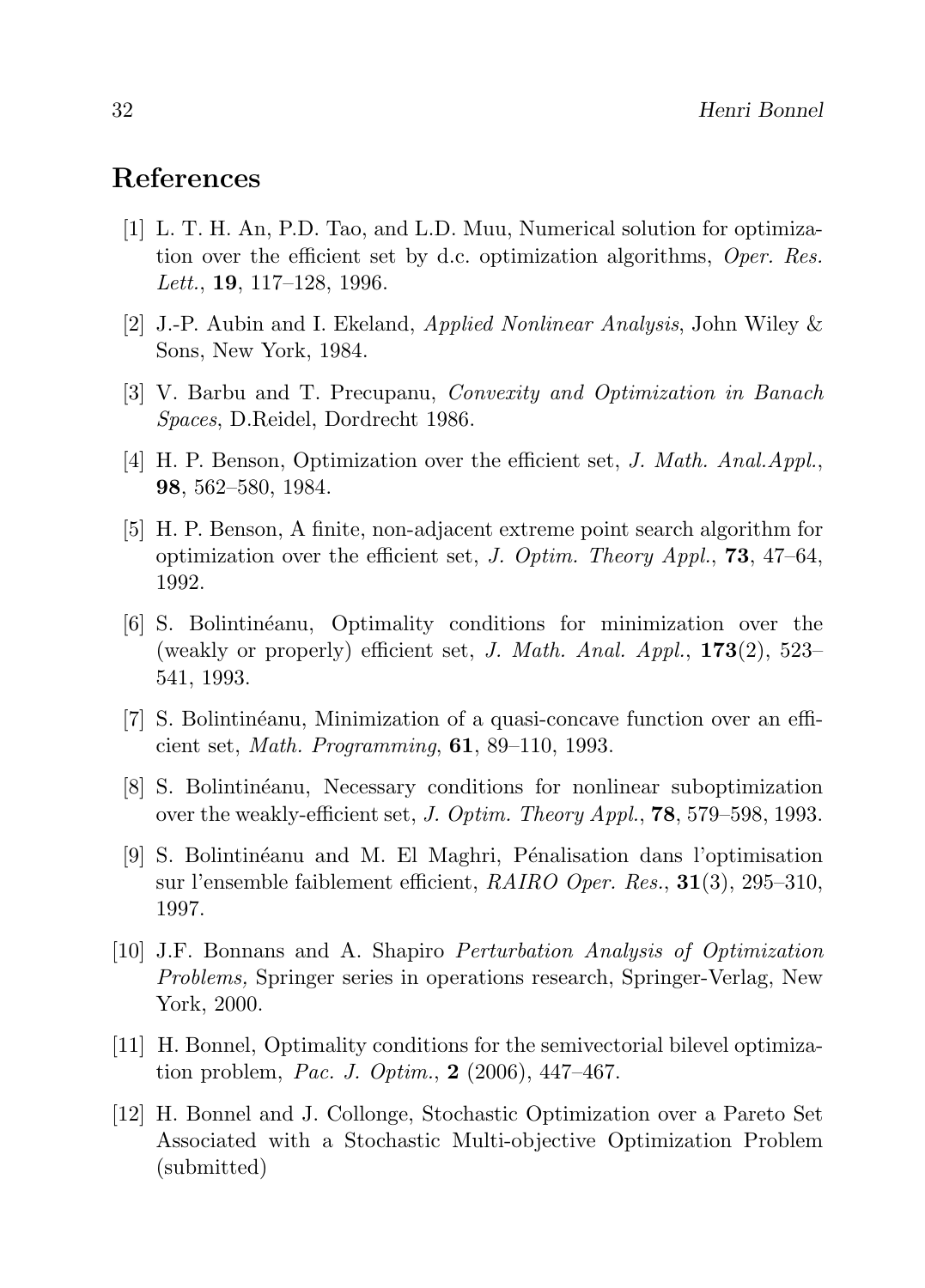# References

- [1] L. T. H. An, P.D. Tao, and L.D. Muu, Numerical solution for optimization over the efficient set by d.c. optimization algorithms, Oper. Res. *Lett.*, **19**, 117–128, 1996.
- [2] J.-P. Aubin and I. Ekeland, Applied Nonlinear Analysis, John Wiley & Sons, New York, 1984.
- [3] V. Barbu and T. Precupanu, Convexity and Optimization in Banach Spaces, D.Reidel, Dordrecht 1986.
- [4] H. P. Benson, Optimization over the efficient set, J. Math. Anal.Appl., 98, 562–580, 1984.
- [5] H. P. Benson, A finite, non-adjacent extreme point search algorithm for optimization over the efficient set, J. Optim. Theory Appl., **73**,  $47-64$ , 1992.
- [6] S. Bolintin´eanu, Optimality conditions for minimization over the (weakly or properly) efficient set, J. Math. Anal. Appl.,  $173(2)$ ,  $523-$ 541, 1993.
- [7] S. Bolintin´eanu, Minimization of a quasi-concave function over an efficient set, Math. Programming, 61, 89–110, 1993.
- [8] S. Bolintin´eanu, Necessary conditions for nonlinear suboptimization over the weakly-efficient set, J. Optim. Theory Appl., **78**, 579–598, 1993.
- [9] S. Bolintin´eanu and M. El Maghri, P´enalisation dans l'optimisation sur l'ensemble faiblement efficient,  $RAIRO$  Oper. Res.,  $31(3)$ , 295–310, 1997.
- [10] J.F. Bonnans and A. Shapiro Perturbation Analysis of Optimization Problems, Springer series in operations research, Springer-Verlag, New York, 2000.
- [11] H. Bonnel, Optimality conditions for the semivectorial bilevel optimization problem, Pac. J. Optim.,  $2(2006)$ , 447-467.
- [12] H. Bonnel and J. Collonge, Stochastic Optimization over a Pareto Set Associated with a Stochastic Multi-objective Optimization Problem (submitted)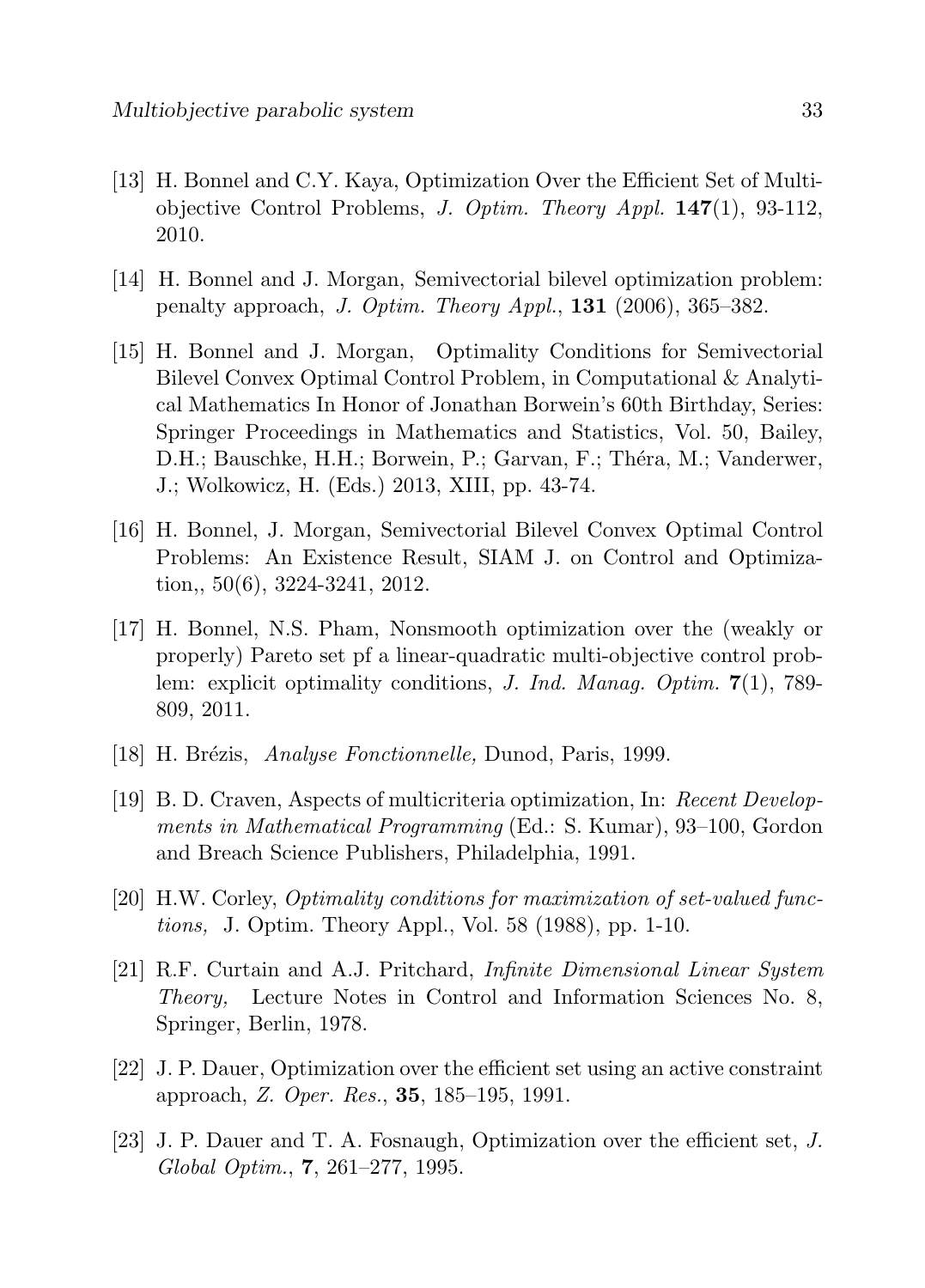- [13] H. Bonnel and C.Y. Kaya, Optimization Over the Efficient Set of Multiobjective Control Problems, J. Optim. Theory Appl. 147(1), 93-112, 2010.
- [14] H. Bonnel and J. Morgan, Semivectorial bilevel optimization problem: penalty approach, J. Optim. Theory Appl.,  $131$  (2006), 365–382.
- [15] H. Bonnel and J. Morgan, Optimality Conditions for Semivectorial Bilevel Convex Optimal Control Problem, in Computational & Analytical Mathematics In Honor of Jonathan Borwein's 60th Birthday, Series: Springer Proceedings in Mathematics and Statistics, Vol. 50, Bailey, D.H.; Bauschke, H.H.; Borwein, P.; Garvan, F.; Théra, M.; Vanderwer, J.; Wolkowicz, H. (Eds.) 2013, XIII, pp. 43-74.
- [16] H. Bonnel, J. Morgan, Semivectorial Bilevel Convex Optimal Control Problems: An Existence Result, SIAM J. on Control and Optimization,, 50(6), 3224-3241, 2012.
- [17] H. Bonnel, N.S. Pham, Nonsmooth optimization over the (weakly or properly) Pareto set pf a linear-quadratic multi-objective control problem: explicit optimality conditions, *J. Ind. Manag. Optim.* 7(1), 789-809, 2011.
- [18] H. Brézis, Analyse Fonctionnelle, Dunod, Paris, 1999.
- [19] B. D. Craven, Aspects of multicriteria optimization, In: Recent Developments in Mathematical Programming (Ed.: S. Kumar), 93–100, Gordon and Breach Science Publishers, Philadelphia, 1991.
- [20] H.W. Corley, Optimality conditions for maximization of set-valued functions, J. Optim. Theory Appl., Vol. 58 (1988), pp. 1-10.
- [21] R.F. Curtain and A.J. Pritchard, Infinite Dimensional Linear System Theory, Lecture Notes in Control and Information Sciences No. 8, Springer, Berlin, 1978.
- [22] J. P. Dauer, Optimization over the efficient set using an active constraint approach, Z. Oper. Res., 35, 185-195, 1991.
- [23] J. P. Dauer and T. A. Fosnaugh, Optimization over the efficient set, J. Global Optim., 7, 261–277, 1995.